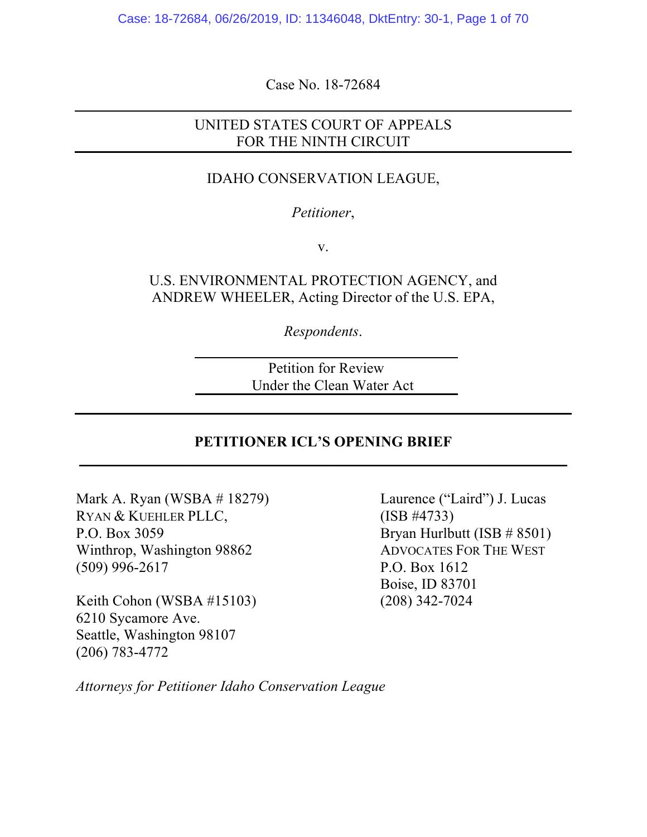Case: 18-72684, 06/26/2019, ID: 11346048, DktEntry: 30-1, Page 1 of 70

Case No. 18-72684

#### UNITED STATES COURT OF APPEALS FOR THE NINTH CIRCUIT

#### IDAHO CONSERVATION LEAGUE,

*Petitioner*,

v.

U.S. ENVIRONMENTAL PROTECTION AGENCY, and ANDREW WHEELER, Acting Director of the U.S. EPA,

*Respondents*.

Petition for Review Under the Clean Water Act

#### **PETITIONER ICL'S OPENING BRIEF**  $\mathcal{L}_\text{max}$  and  $\mathcal{L}_\text{max}$  and  $\mathcal{L}_\text{max}$  and  $\mathcal{L}_\text{max}$  and  $\mathcal{L}_\text{max}$  and  $\mathcal{L}_\text{max}$

Mark A. Ryan (WSBA # 18279) Laurence ("Laird") J. Lucas RYAN & KUEHLER PLLC, (ISB #4733) P.O. Box 3059 Bryan Hurlbutt (ISB # 8501) Winthrop, Washington 98862 ADVOCATES FOR THE WEST (509) 996-2617 P.O. Box 1612

Keith Cohon (WSBA #15103) (208) 342-7024 6210 Sycamore Ave. Seattle, Washington 98107 (206) 783-4772

Boise, ID 83701

*Attorneys for Petitioner Idaho Conservation League*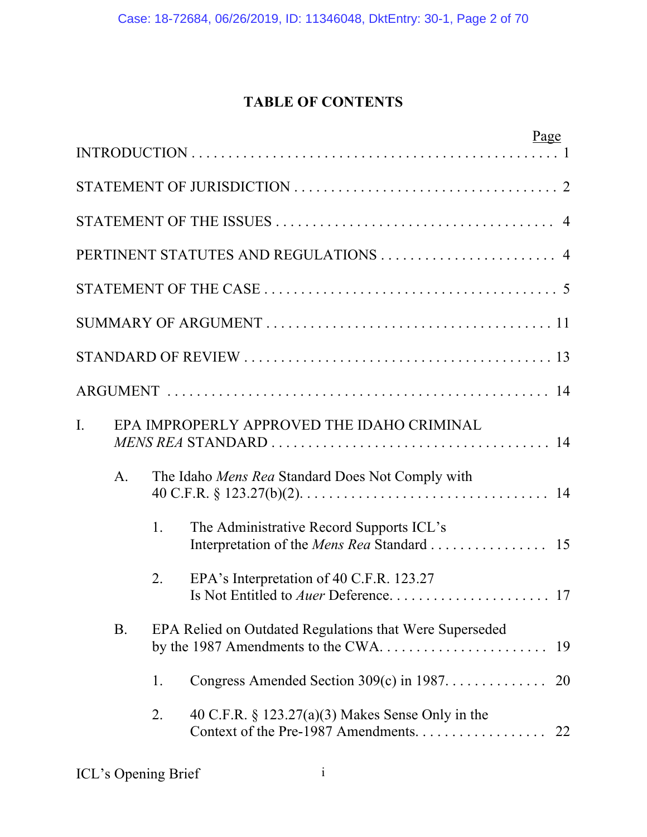# **TABLE OF CONTENTS**

|    |           |    | Page                                                    |    |
|----|-----------|----|---------------------------------------------------------|----|
|    |           |    |                                                         |    |
|    |           |    |                                                         |    |
|    |           |    | PERTINENT STATUTES AND REGULATIONS  4                   |    |
|    |           |    |                                                         |    |
|    |           |    |                                                         |    |
|    |           |    |                                                         |    |
|    |           |    |                                                         |    |
| I. |           |    | EPA IMPROPERLY APPROVED THE IDAHO CRIMINAL              |    |
|    | A.        |    | The Idaho Mens Rea Standard Does Not Comply with        |    |
|    |           | 1. | The Administrative Record Supports ICL's                |    |
|    |           | 2. | EPA's Interpretation of 40 C.F.R. 123.27                |    |
|    | <b>B.</b> |    | EPA Relied on Outdated Regulations that Were Superseded | 19 |
|    |           | 1. | Congress Amended Section $309(c)$ in $1987$             | 20 |
|    |           | 2. | 40 C.F.R. $\S$ 123.27(a)(3) Makes Sense Only in the     | 22 |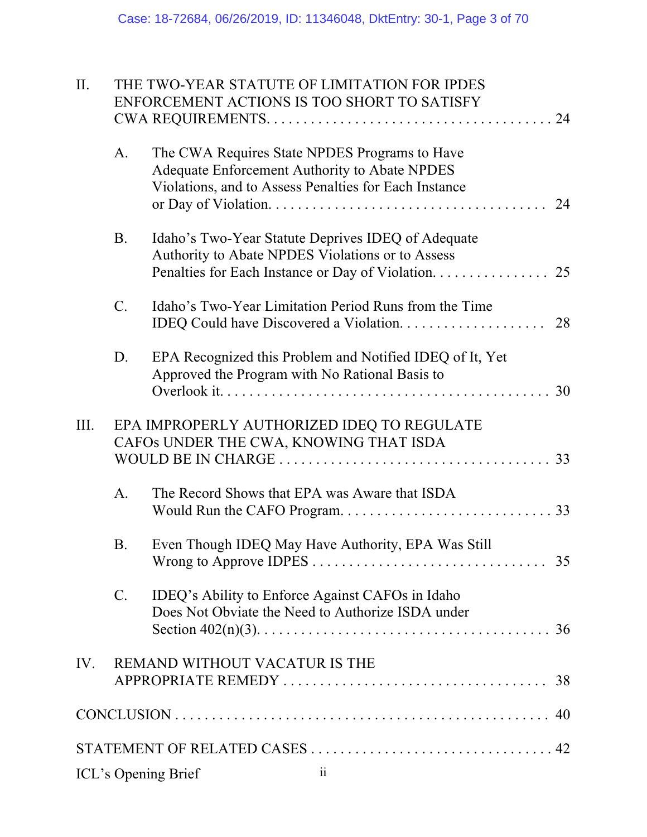| II.  | THE TWO-YEAR STATUTE OF LIMITATION FOR IPDES<br>ENFORCEMENT ACTIONS IS TOO SHORT TO SATISFY |                                                                                                                                                           |    |
|------|---------------------------------------------------------------------------------------------|-----------------------------------------------------------------------------------------------------------------------------------------------------------|----|
|      | A.                                                                                          | The CWA Requires State NPDES Programs to Have<br>Adequate Enforcement Authority to Abate NPDES<br>Violations, and to Assess Penalties for Each Instance   |    |
|      | B.                                                                                          | Idaho's Two-Year Statute Deprives IDEQ of Adequate<br>Authority to Abate NPDES Violations or to Assess<br>Penalties for Each Instance or Day of Violation | 25 |
|      | $\mathcal{C}$ .                                                                             | Idaho's Two-Year Limitation Period Runs from the Time                                                                                                     | 28 |
|      | D.                                                                                          | EPA Recognized this Problem and Notified IDEQ of It, Yet<br>Approved the Program with No Rational Basis to                                                |    |
| III. |                                                                                             | EPA IMPROPERLY AUTHORIZED IDEQ TO REGULATE<br>CAFOS UNDER THE CWA, KNOWING THAT ISDA                                                                      |    |
|      | A.                                                                                          | The Record Shows that EPA was Aware that ISDA                                                                                                             |    |
|      | <b>B.</b>                                                                                   | Even Though IDEQ May Have Authority, EPA Was Still                                                                                                        |    |
|      | $C_{\cdot}$                                                                                 | IDEQ's Ability to Enforce Against CAFOs in Idaho<br>Does Not Obviate the Need to Authorize ISDA under                                                     |    |
| IV.  |                                                                                             | REMAND WITHOUT VACATUR IS THE                                                                                                                             |    |
|      |                                                                                             |                                                                                                                                                           |    |
|      |                                                                                             |                                                                                                                                                           |    |
|      |                                                                                             |                                                                                                                                                           |    |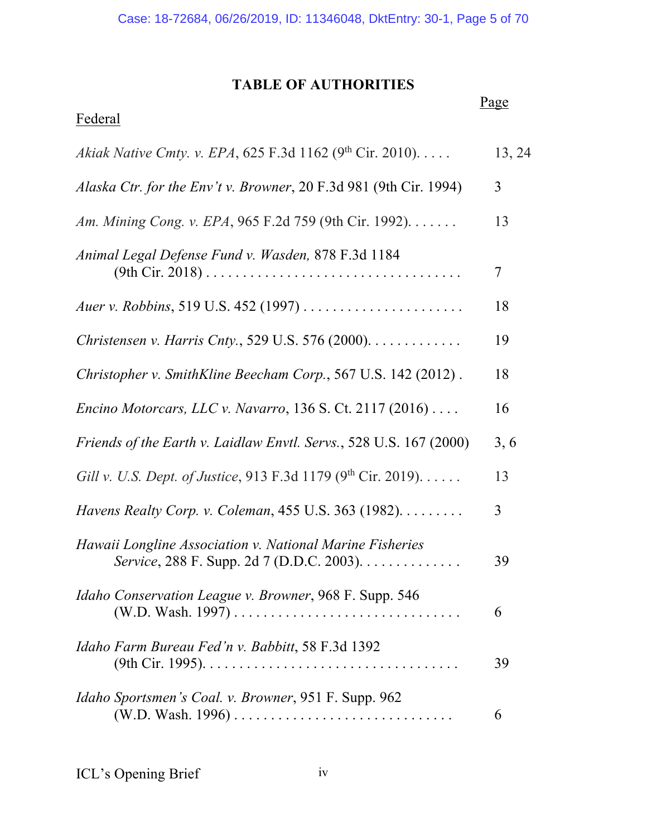# **TABLE OF AUTHORITIES**

|                                                                                                       | Page           |
|-------------------------------------------------------------------------------------------------------|----------------|
| Federal                                                                                               |                |
| <i>Akiak Native Cmty. v. EPA</i> , $625$ F.3d 1162 (9 <sup>th</sup> Cir. 2010).                       | 13, 24         |
| Alaska Ctr. for the Env't v. Browner, 20 F.3d 981 (9th Cir. 1994)                                     | $\overline{3}$ |
| Am. Mining Cong. v. EPA, 965 F.2d 759 (9th Cir. 1992).                                                | 13             |
| Animal Legal Defense Fund v. Wasden, 878 F.3d 1184                                                    | 7              |
| <i>Auer v. Robbins</i> , 519 U.S. 452 (1997) $\ldots \ldots \ldots \ldots \ldots \ldots$              | 18             |
| Christensen v. Harris Cnty., 529 U.S. 576 (2000). $\dots \dots \dots$                                 | 19             |
| Christopher v. SmithKline Beecham Corp., 567 U.S. 142 (2012).                                         | 18             |
| <i>Encino Motorcars, LLC v. Navarro, 136 S. Ct. 2117 (2016)</i> $\ldots$                              | 16             |
| Friends of the Earth v. Laidlaw Envtl. Servs., 528 U.S. 167 (2000)                                    | 3, 6           |
| Gill v. U.S. Dept. of Justice, 913 F.3d 1179 (9th Cir. 2019).                                         | 13             |
| Havens Realty Corp. v. Coleman, 455 U.S. 363 (1982).                                                  | 3              |
| Hawaii Longline Association v. National Marine Fisheries<br>Service, 288 F. Supp. 2d 7 (D.D.C. 2003). | 39             |
| Idaho Conservation League v. Browner, 968 F. Supp. 546                                                | 6              |
| Idaho Farm Bureau Fed'n v. Babbitt, 58 F.3d 1392                                                      | 39             |
| Idaho Sportsmen's Coal. v. Browner, 951 F. Supp. 962                                                  | 6              |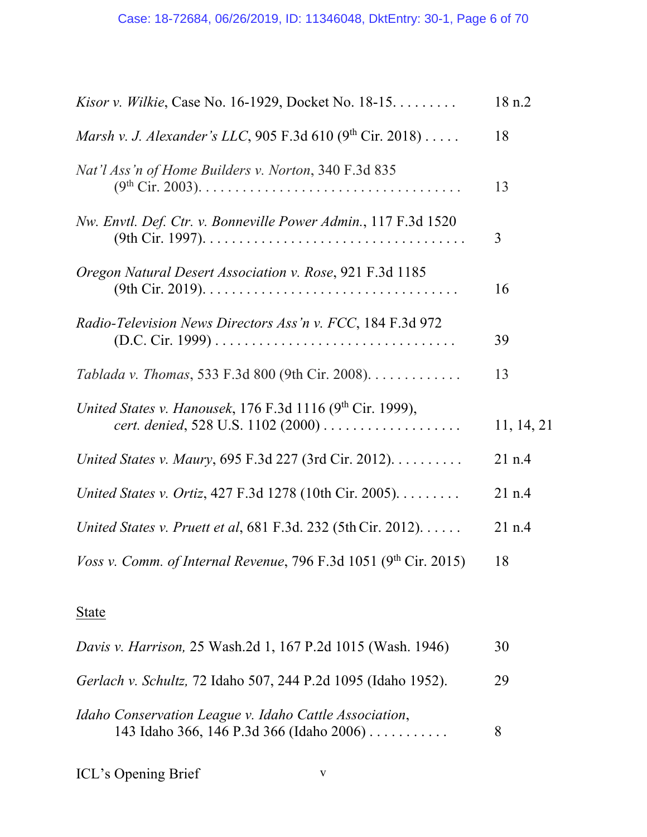| <i>Kisor v. Wilkie, Case No. 16-1929, Docket No. 18-15.</i>           | 18 n.2     |
|-----------------------------------------------------------------------|------------|
| Marsh v. J. Alexander's LLC, 905 F.3d 610 (9th Cir. 2018)             | 18         |
| Nat'l Ass'n of Home Builders v. Norton, 340 F.3d 835                  | 13         |
| Nw. Envtl. Def. Ctr. v. Bonneville Power Admin., 117 F.3d 1520        | 3          |
| Oregon Natural Desert Association v. Rose, 921 F.3d 1185              | 16         |
| Radio-Television News Directors Ass'n v. FCC, 184 F.3d 972            | 39         |
| Tablada v. Thomas, 533 F.3d 800 (9th Cir. 2008).                      | 13         |
| United States v. Hanousek, 176 F.3d 1116 (9 <sup>th</sup> Cir. 1999), | 11, 14, 21 |
| United States v. Maury, 695 F.3d 227 (3rd Cir. 2012).                 | 21 n.4     |
| United States v. Ortiz, 427 F.3d 1278 (10th Cir. 2005).               | 21 n.4     |
| United States v. Pruett et al, 681 F.3d. 232 (5th Cir. 2012).         | 21 n.4     |
| Voss v. Comm. of Internal Revenue, 796 F.3d 1051 (9th Cir. 2015)      | 18         |

# State

| Davis v. Harrison, 25 Wash.2d 1, 167 P.2d 1015 (Wash. 1946)                                                            | 30 |
|------------------------------------------------------------------------------------------------------------------------|----|
| Gerlach v. Schultz, 72 Idaho 507, 244 P.2d 1095 (Idaho 1952).                                                          | 29 |
| Idaho Conservation League v. Idaho Cattle Association,<br>143 Idaho 366, 146 P.3d 366 (Idaho 2006) $\dots \dots \dots$ | X  |

| ICL's Opening Brief |  |
|---------------------|--|
|---------------------|--|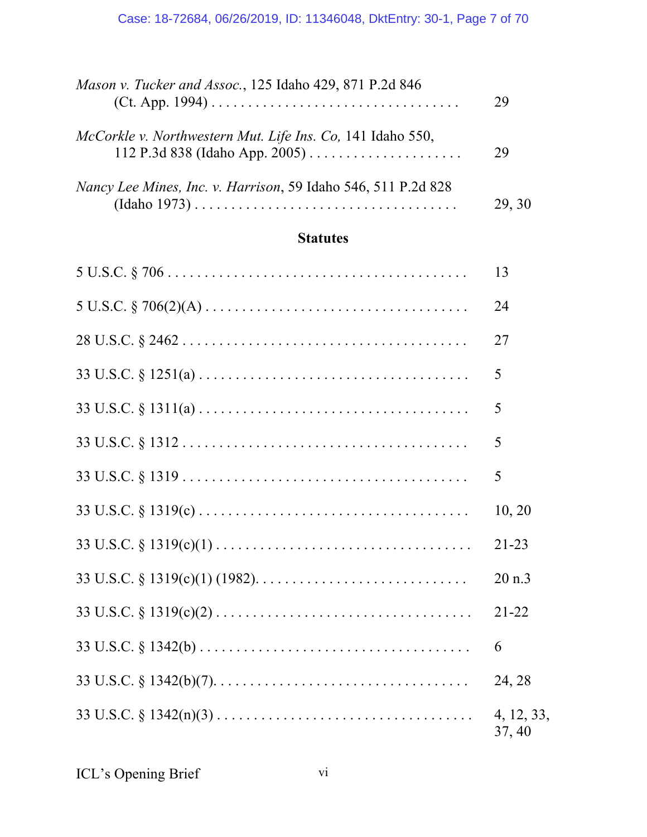| Mason v. Tucker and Assoc., 125 Idaho 429, 871 P.2d 846       | 29     |
|---------------------------------------------------------------|--------|
| McCorkle v. Northwestern Mut. Life Ins. Co, 141 Idaho 550,    | 29     |
| Nancy Lee Mines, Inc. v. Harrison, 59 Idaho 546, 511 P.2d 828 | 29, 30 |

### **Statutes**

|                                                                                                                           | 13                   |
|---------------------------------------------------------------------------------------------------------------------------|----------------------|
|                                                                                                                           | 24                   |
|                                                                                                                           | 27                   |
|                                                                                                                           | 5                    |
| $33 \text{ U.S.C.} \S 1311(a) \ldots \ldots \ldots \ldots \ldots \ldots \ldots \ldots \ldots \ldots \ldots \ldots$        | 5                    |
|                                                                                                                           | 5                    |
|                                                                                                                           | 5                    |
| $33 \text{ U.S.C.} \S 1319(c) \ldots \ldots \ldots \ldots \ldots \ldots \ldots \ldots \ldots \ldots \ldots \ldots$        | 10, 20               |
|                                                                                                                           | $21 - 23$            |
|                                                                                                                           | 20 n.3               |
|                                                                                                                           | $21 - 22$            |
| $33 \text{ U.S.C.} \S 1342(b) \ldots \ldots \ldots \ldots \ldots \ldots \ldots \ldots \ldots \ldots \ldots \ldots \ldots$ | 6                    |
|                                                                                                                           | 24, 28               |
|                                                                                                                           | 4, 12, 33,<br>37, 40 |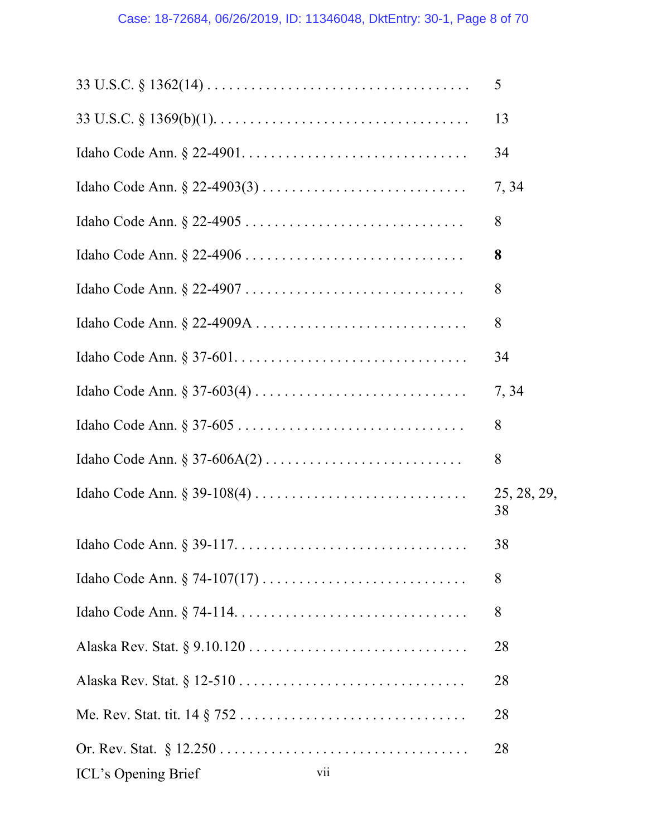| $33 \text{ U.S.C.} \S 1362(14) \ldots \ldots \ldots \ldots \ldots \ldots \ldots \ldots \ldots \ldots \ldots \ldots$ | 5                 |
|---------------------------------------------------------------------------------------------------------------------|-------------------|
|                                                                                                                     | 13                |
|                                                                                                                     | 34                |
|                                                                                                                     | 7, 34             |
|                                                                                                                     | 8                 |
|                                                                                                                     | 8                 |
|                                                                                                                     | 8                 |
|                                                                                                                     | 8                 |
|                                                                                                                     | 34                |
|                                                                                                                     | 7,34              |
|                                                                                                                     | 8                 |
|                                                                                                                     | 8                 |
|                                                                                                                     | 25, 28, 29,<br>38 |
|                                                                                                                     | 38                |
|                                                                                                                     | 8                 |
|                                                                                                                     | 8                 |
|                                                                                                                     | 28                |
|                                                                                                                     | 28                |
|                                                                                                                     | 28                |
| ICL's Opening Brief<br>V11                                                                                          | 28                |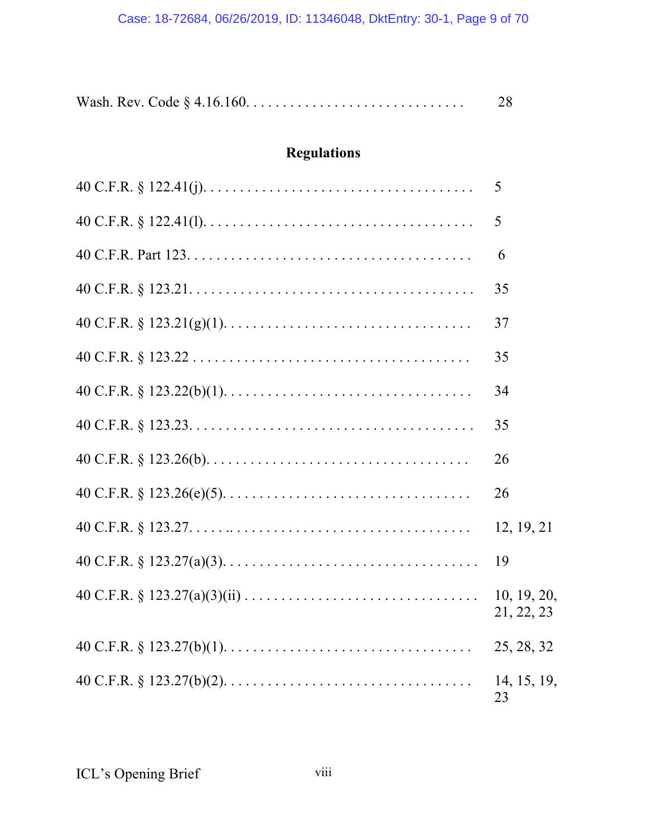# **Regulations**

| 5                         |
|---------------------------|
| 5                         |
| 6                         |
| 35                        |
| 37                        |
| 35                        |
| 34                        |
| 35                        |
| 26                        |
| 26                        |
| 12, 19, 21                |
| 19                        |
| 10, 19, 20,<br>21, 22, 23 |
| 25, 28, 32                |
| 14, 15, 19,<br>23         |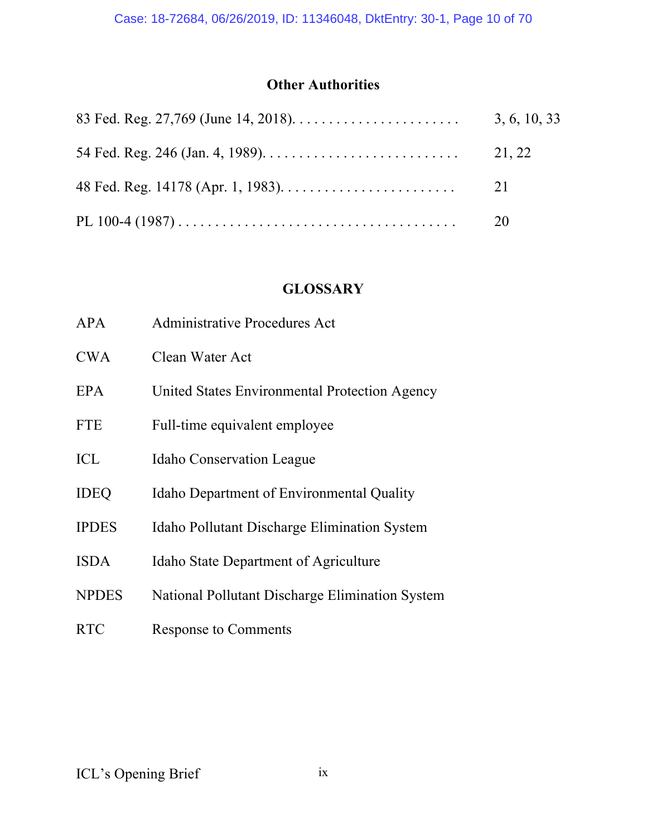# **Other Authorities**

|                                                                                          | 3, 6, 10, 33 |
|------------------------------------------------------------------------------------------|--------------|
| 54 Fed. Reg. 246 (Jan. 4, 1989). $\dots \dots \dots \dots \dots \dots \dots \dots \dots$ | 21, 22       |
|                                                                                          | 21           |
|                                                                                          | 20           |

### **GLOSSARY**

| APA          | Administrative Procedures Act                       |
|--------------|-----------------------------------------------------|
| <b>CWA</b>   | Clean Water Act                                     |
| EPA          | United States Environmental Protection Agency       |
| <b>FTE</b>   | Full-time equivalent employee                       |
| ICL          | Idaho Conservation League                           |
| <b>IDEQ</b>  | Idaho Department of Environmental Quality           |
| <b>IPDES</b> | <b>Idaho Pollutant Discharge Elimination System</b> |
| <b>ISDA</b>  | Idaho State Department of Agriculture               |
| <b>NPDES</b> | National Pollutant Discharge Elimination System     |
| <b>RTC</b>   | <b>Response to Comments</b>                         |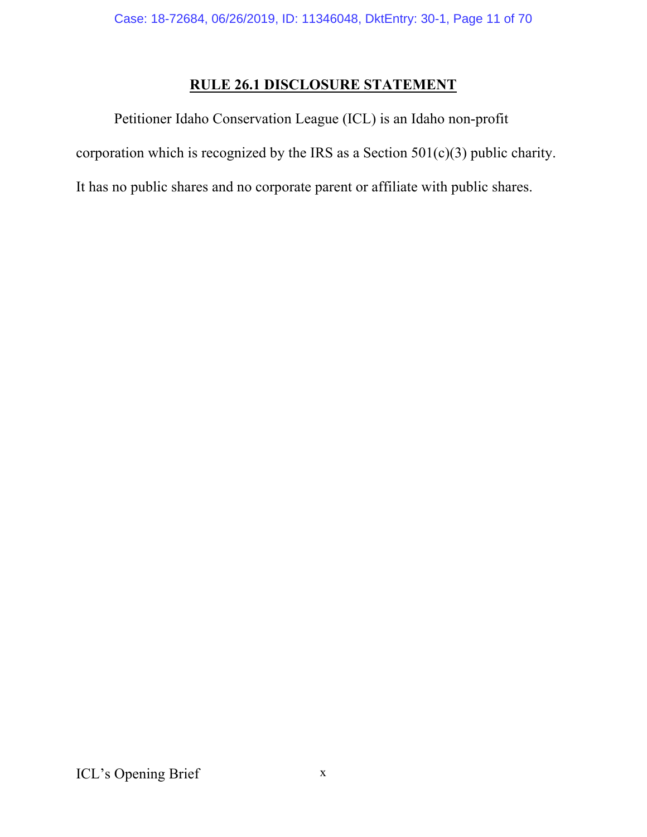# **RULE 26.1 DISCLOSURE STATEMENT**

Petitioner Idaho Conservation League (ICL) is an Idaho non-profit corporation which is recognized by the IRS as a Section 501(c)(3) public charity. It has no public shares and no corporate parent or affiliate with public shares.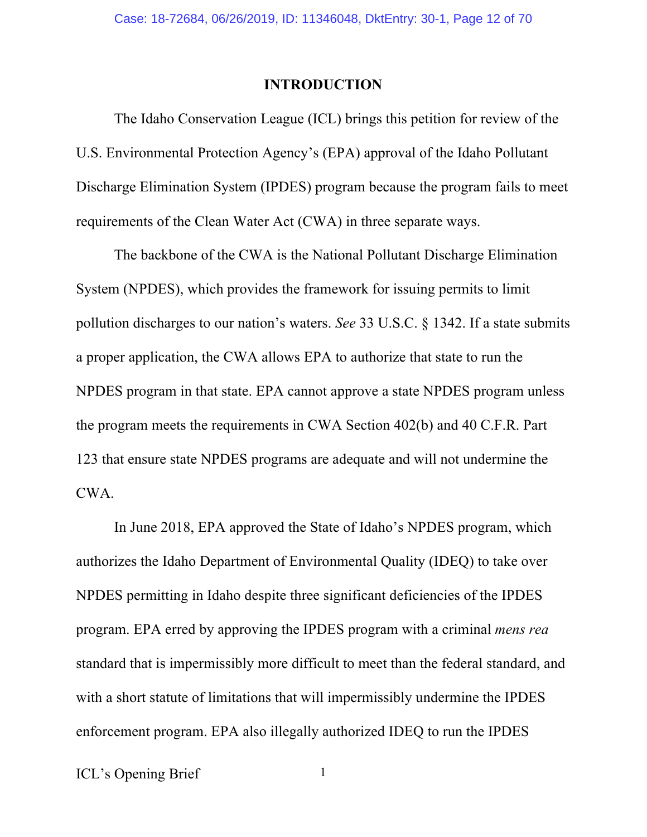#### **INTRODUCTION**

The Idaho Conservation League (ICL) brings this petition for review of the U.S. Environmental Protection Agency's (EPA) approval of the Idaho Pollutant Discharge Elimination System (IPDES) program because the program fails to meet requirements of the Clean Water Act (CWA) in three separate ways.

The backbone of the CWA is the National Pollutant Discharge Elimination System (NPDES), which provides the framework for issuing permits to limit pollution discharges to our nation's waters. *See* 33 U.S.C. § 1342. If a state submits a proper application, the CWA allows EPA to authorize that state to run the NPDES program in that state. EPA cannot approve a state NPDES program unless the program meets the requirements in CWA Section 402(b) and 40 C.F.R. Part 123 that ensure state NPDES programs are adequate and will not undermine the CWA.

In June 2018, EPA approved the State of Idaho's NPDES program, which authorizes the Idaho Department of Environmental Quality (IDEQ) to take over NPDES permitting in Idaho despite three significant deficiencies of the IPDES program. EPA erred by approving the IPDES program with a criminal *mens rea* standard that is impermissibly more difficult to meet than the federal standard, and with a short statute of limitations that will impermissibly undermine the IPDES enforcement program. EPA also illegally authorized IDEQ to run the IPDES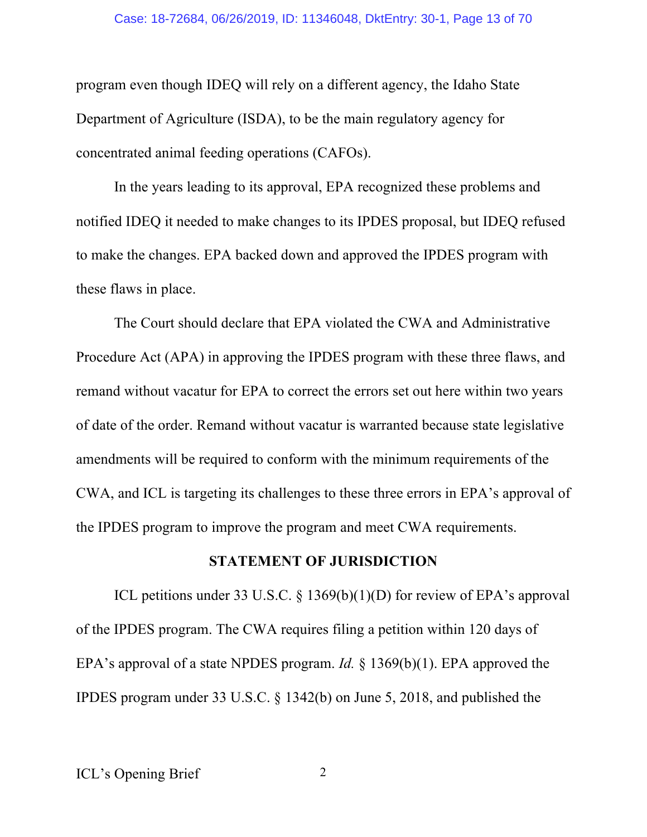program even though IDEQ will rely on a different agency, the Idaho State Department of Agriculture (ISDA), to be the main regulatory agency for concentrated animal feeding operations (CAFOs).

In the years leading to its approval, EPA recognized these problems and notified IDEQ it needed to make changes to its IPDES proposal, but IDEQ refused to make the changes. EPA backed down and approved the IPDES program with these flaws in place.

The Court should declare that EPA violated the CWA and Administrative Procedure Act (APA) in approving the IPDES program with these three flaws, and remand without vacatur for EPA to correct the errors set out here within two years of date of the order. Remand without vacatur is warranted because state legislative amendments will be required to conform with the minimum requirements of the CWA, and ICL is targeting its challenges to these three errors in EPA's approval of the IPDES program to improve the program and meet CWA requirements.

#### **STATEMENT OF JURISDICTION**

ICL petitions under 33 U.S.C. § 1369(b)(1)(D) for review of EPA's approval of the IPDES program. The CWA requires filing a petition within 120 days of EPA's approval of a state NPDES program. *Id.* § 1369(b)(1). EPA approved the IPDES program under 33 U.S.C. § 1342(b) on June 5, 2018, and published the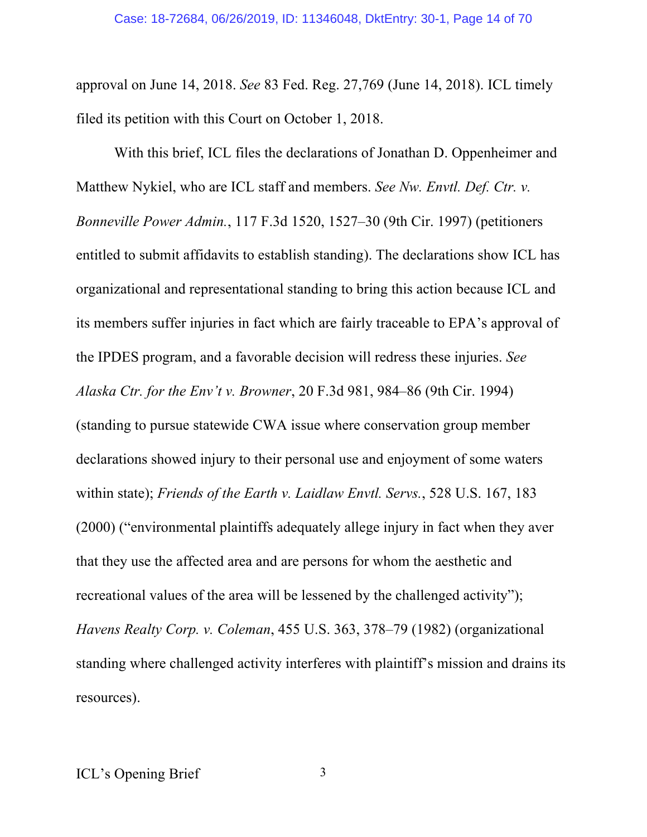approval on June 14, 2018. *See* 83 Fed. Reg. 27,769 (June 14, 2018). ICL timely filed its petition with this Court on October 1, 2018.

With this brief, ICL files the declarations of Jonathan D. Oppenheimer and Matthew Nykiel, who are ICL staff and members. *See Nw. Envtl. Def. Ctr. v. Bonneville Power Admin.*, 117 F.3d 1520, 1527–30 (9th Cir. 1997) (petitioners entitled to submit affidavits to establish standing). The declarations show ICL has organizational and representational standing to bring this action because ICL and its members suffer injuries in fact which are fairly traceable to EPA's approval of the IPDES program, and a favorable decision will redress these injuries. *See Alaska Ctr. for the Env't v. Browner*, 20 F.3d 981, 984–86 (9th Cir. 1994) (standing to pursue statewide CWA issue where conservation group member declarations showed injury to their personal use and enjoyment of some waters within state); *Friends of the Earth v. Laidlaw Envtl. Servs.*, 528 U.S. 167, 183 (2000) ("environmental plaintiffs adequately allege injury in fact when they aver that they use the affected area and are persons for whom the aesthetic and recreational values of the area will be lessened by the challenged activity"); *Havens Realty Corp. v. Coleman*, 455 U.S. 363, 378–79 (1982) (organizational standing where challenged activity interferes with plaintiff's mission and drains its resources).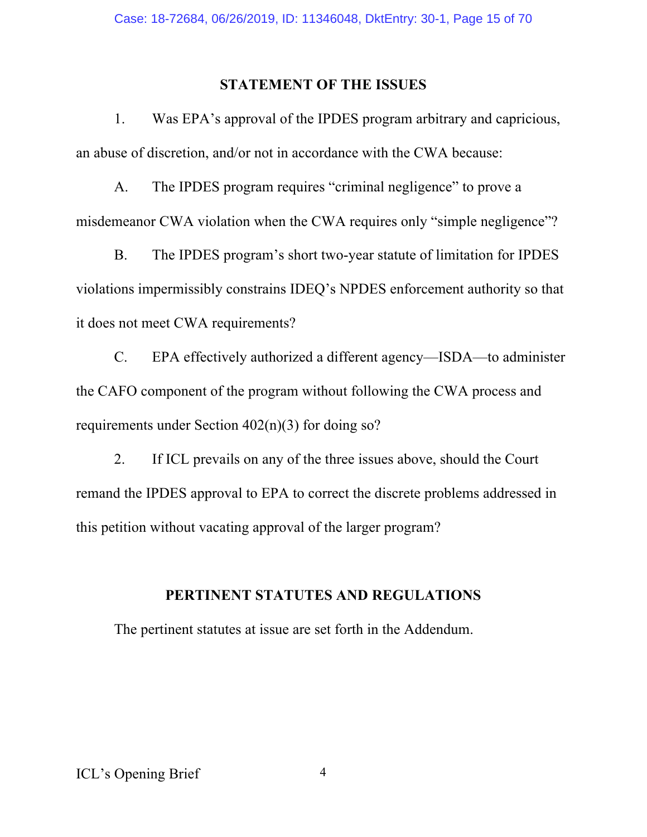#### **STATEMENT OF THE ISSUES**

1. Was EPA's approval of the IPDES program arbitrary and capricious, an abuse of discretion, and/or not in accordance with the CWA because:

A. The IPDES program requires "criminal negligence" to prove a misdemeanor CWA violation when the CWA requires only "simple negligence"?

B. The IPDES program's short two-year statute of limitation for IPDES violations impermissibly constrains IDEQ's NPDES enforcement authority so that it does not meet CWA requirements?

C. EPA effectively authorized a different agency—ISDA—to administer the CAFO component of the program without following the CWA process and requirements under Section  $402(n)(3)$  for doing so?

2. If ICL prevails on any of the three issues above, should the Court remand the IPDES approval to EPA to correct the discrete problems addressed in this petition without vacating approval of the larger program?

#### **PERTINENT STATUTES AND REGULATIONS**

The pertinent statutes at issue are set forth in the Addendum.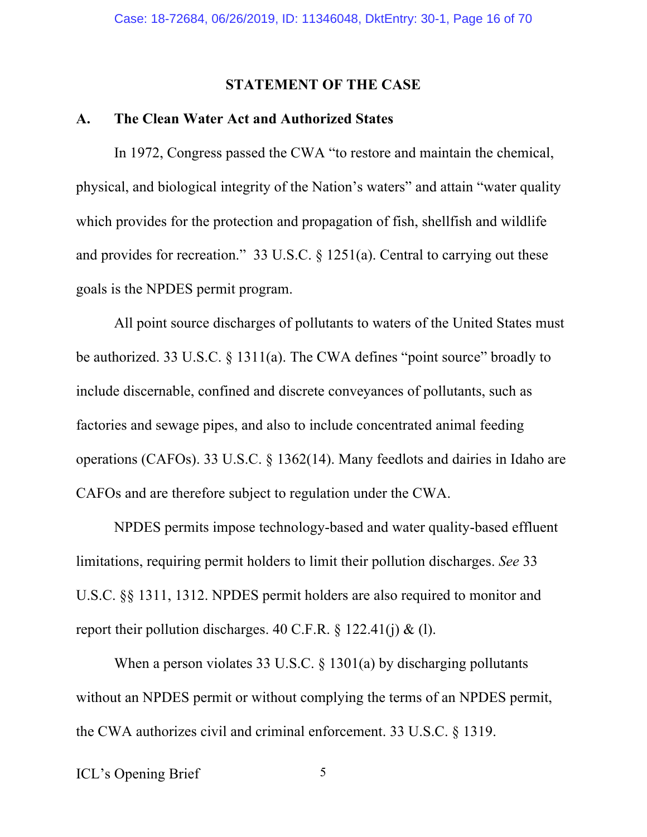#### **STATEMENT OF THE CASE**

#### **A. The Clean Water Act and Authorized States**

In 1972, Congress passed the CWA "to restore and maintain the chemical, physical, and biological integrity of the Nation's waters" and attain "water quality which provides for the protection and propagation of fish, shellfish and wildlife and provides for recreation." 33 U.S.C. § 1251(a). Central to carrying out these goals is the NPDES permit program.

All point source discharges of pollutants to waters of the United States must be authorized. 33 U.S.C. § 1311(a). The CWA defines "point source" broadly to include discernable, confined and discrete conveyances of pollutants, such as factories and sewage pipes, and also to include concentrated animal feeding operations (CAFOs). 33 U.S.C. § 1362(14). Many feedlots and dairies in Idaho are CAFOs and are therefore subject to regulation under the CWA.

NPDES permits impose technology-based and water quality-based effluent limitations, requiring permit holders to limit their pollution discharges. *See* 33 U.S.C. §§ 1311, 1312. NPDES permit holders are also required to monitor and report their pollution discharges. 40 C.F.R.  $\frac{122.41(i) \& (l)}{l}$ .

When a person violates 33 U.S.C. § 1301(a) by discharging pollutants without an NPDES permit or without complying the terms of an NPDES permit, the CWA authorizes civil and criminal enforcement. 33 U.S.C. § 1319.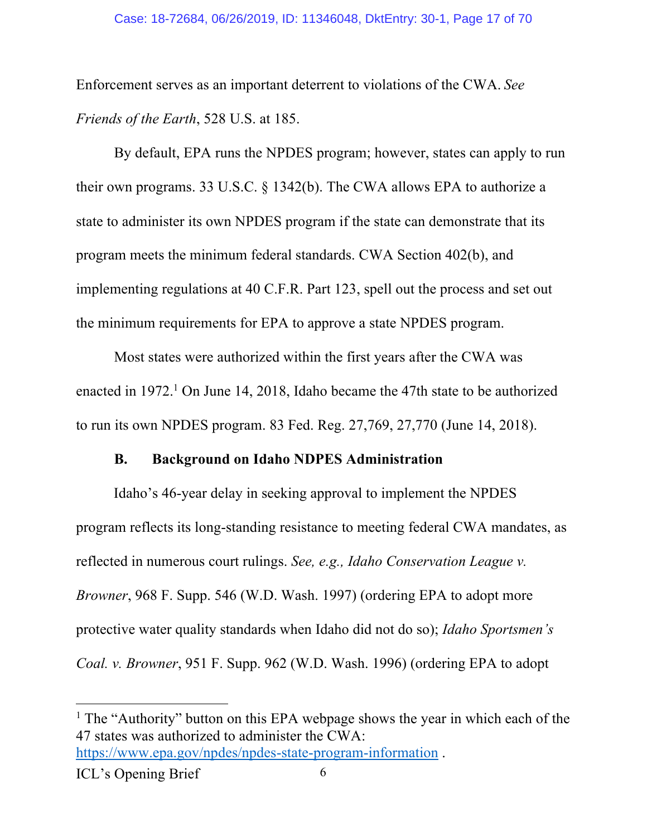Enforcement serves as an important deterrent to violations of the CWA. *See Friends of the Earth*, 528 U.S. at 185.

By default, EPA runs the NPDES program; however, states can apply to run their own programs. 33 U.S.C. § 1342(b). The CWA allows EPA to authorize a state to administer its own NPDES program if the state can demonstrate that its program meets the minimum federal standards. CWA Section 402(b), and implementing regulations at 40 C.F.R. Part 123, spell out the process and set out the minimum requirements for EPA to approve a state NPDES program.

Most states were authorized within the first years after the CWA was enacted in  $1972<sup>1</sup>$  On June 14, 2018, Idaho became the 47th state to be authorized to run its own NPDES program. 83 Fed. Reg. 27,769, 27,770 (June 14, 2018).

#### **B. Background on Idaho NDPES Administration**

Idaho's 46-year delay in seeking approval to implement the NPDES program reflects its long-standing resistance to meeting federal CWA mandates, as reflected in numerous court rulings. *See, e.g., Idaho Conservation League v. Browner*, 968 F. Supp. 546 (W.D. Wash. 1997) (ordering EPA to adopt more protective water quality standards when Idaho did not do so); *Idaho Sportsmen's Coal. v. Browner*, 951 F. Supp. 962 (W.D. Wash. 1996) (ordering EPA to adopt

ICL's Opening Brief 6 <sup>1</sup> The "Authority" button on this EPA webpage shows the year in which each of the 47 states was authorized to administer the CWA: https://www.epa.gov/npdes/npdes-state-program-information .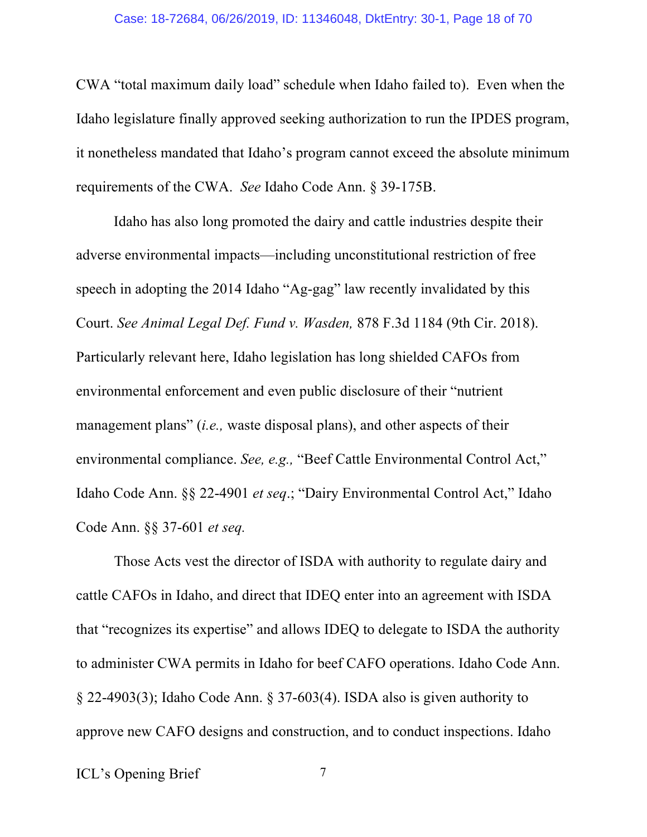CWA "total maximum daily load" schedule when Idaho failed to). Even when the Idaho legislature finally approved seeking authorization to run the IPDES program, it nonetheless mandated that Idaho's program cannot exceed the absolute minimum requirements of the CWA. *See* Idaho Code Ann. § 39-175B.

Idaho has also long promoted the dairy and cattle industries despite their adverse environmental impacts—including unconstitutional restriction of free speech in adopting the 2014 Idaho "Ag-gag" law recently invalidated by this Court. *See Animal Legal Def. Fund v. Wasden,* 878 F.3d 1184 (9th Cir. 2018). Particularly relevant here, Idaho legislation has long shielded CAFOs from environmental enforcement and even public disclosure of their "nutrient management plans" (*i.e.,* waste disposal plans), and other aspects of their environmental compliance. *See, e.g.,* "Beef Cattle Environmental Control Act," Idaho Code Ann. §§ 22-4901 *et seq*.; "Dairy Environmental Control Act," Idaho Code Ann. §§ 37-601 *et seq.*

Those Acts vest the director of ISDA with authority to regulate dairy and cattle CAFOs in Idaho, and direct that IDEQ enter into an agreement with ISDA that "recognizes its expertise" and allows IDEQ to delegate to ISDA the authority to administer CWA permits in Idaho for beef CAFO operations. Idaho Code Ann. § 22-4903(3); Idaho Code Ann. § 37-603(4). ISDA also is given authority to approve new CAFO designs and construction, and to conduct inspections. Idaho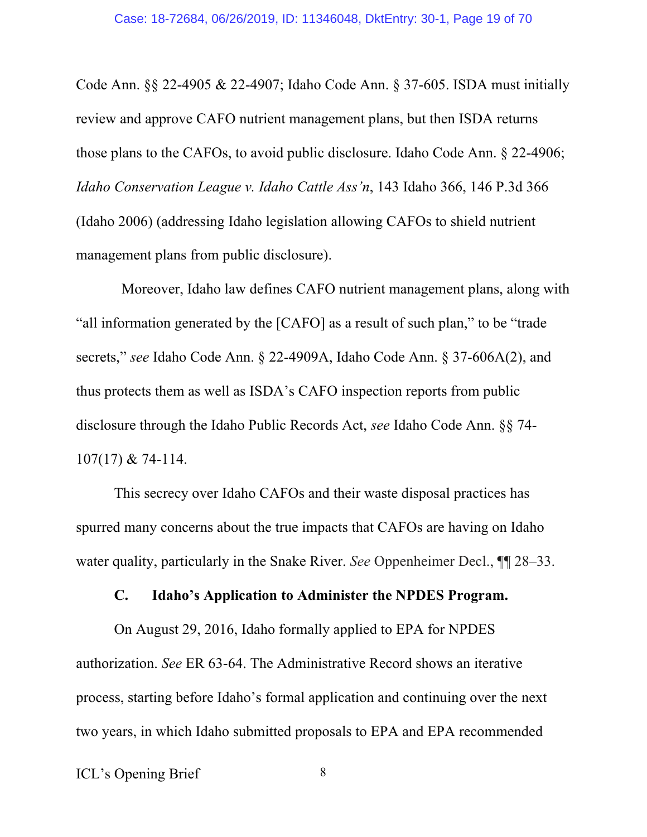Code Ann. §§ 22-4905 & 22-4907; Idaho Code Ann. § 37-605. ISDA must initially review and approve CAFO nutrient management plans, but then ISDA returns those plans to the CAFOs, to avoid public disclosure. Idaho Code Ann. § 22-4906; *Idaho Conservation League v. Idaho Cattle Ass'n*, 143 Idaho 366, 146 P.3d 366 (Idaho 2006) (addressing Idaho legislation allowing CAFOs to shield nutrient management plans from public disclosure).

 Moreover, Idaho law defines CAFO nutrient management plans, along with "all information generated by the [CAFO] as a result of such plan," to be "trade secrets," *see* Idaho Code Ann. § 22-4909A, Idaho Code Ann. § 37-606A(2), and thus protects them as well as ISDA's CAFO inspection reports from public disclosure through the Idaho Public Records Act, *see* Idaho Code Ann. §§ 74- 107(17) & 74-114.

This secrecy over Idaho CAFOs and their waste disposal practices has spurred many concerns about the true impacts that CAFOs are having on Idaho water quality, particularly in the Snake River. *See* Oppenheimer Decl., ¶¶ 28–33.

#### **C. Idaho's Application to Administer the NPDES Program.**

On August 29, 2016, Idaho formally applied to EPA for NPDES authorization. *See* ER 63-64. The Administrative Record shows an iterative process, starting before Idaho's formal application and continuing over the next two years, in which Idaho submitted proposals to EPA and EPA recommended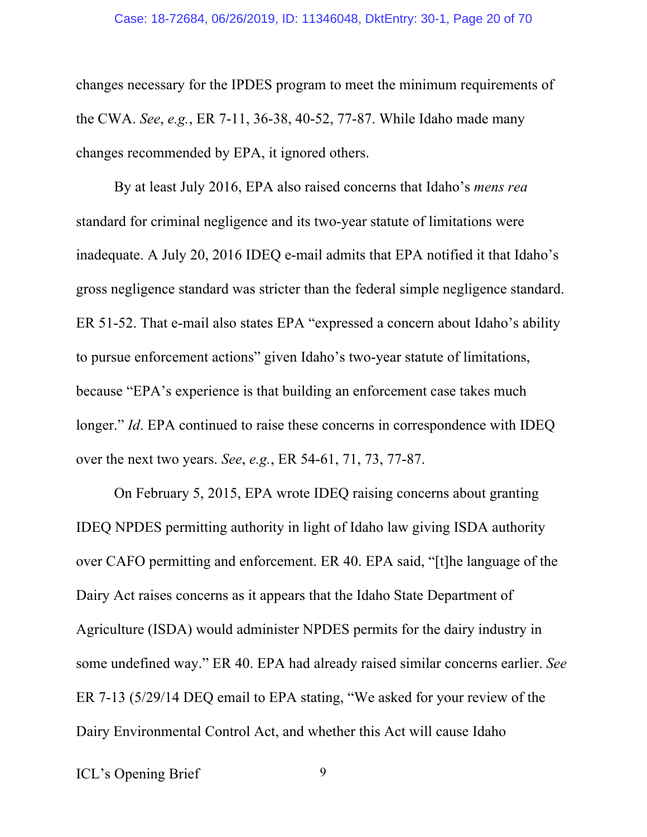changes necessary for the IPDES program to meet the minimum requirements of the CWA. *See*, *e.g.*, ER 7-11, 36-38, 40-52, 77-87. While Idaho made many changes recommended by EPA, it ignored others.

By at least July 2016, EPA also raised concerns that Idaho's *mens rea*  standard for criminal negligence and its two-year statute of limitations were inadequate. A July 20, 2016 IDEQ e-mail admits that EPA notified it that Idaho's gross negligence standard was stricter than the federal simple negligence standard. ER 51-52. That e-mail also states EPA "expressed a concern about Idaho's ability to pursue enforcement actions" given Idaho's two-year statute of limitations, because "EPA's experience is that building an enforcement case takes much longer." *Id*. EPA continued to raise these concerns in correspondence with IDEQ over the next two years. *See*, *e.g.*, ER 54-61, 71, 73, 77-87.

On February 5, 2015, EPA wrote IDEQ raising concerns about granting IDEQ NPDES permitting authority in light of Idaho law giving ISDA authority over CAFO permitting and enforcement. ER 40. EPA said, "[t]he language of the Dairy Act raises concerns as it appears that the Idaho State Department of Agriculture (ISDA) would administer NPDES permits for the dairy industry in some undefined way." ER 40. EPA had already raised similar concerns earlier. *See* ER 7-13 (5/29/14 DEQ email to EPA stating, "We asked for your review of the Dairy Environmental Control Act, and whether this Act will cause Idaho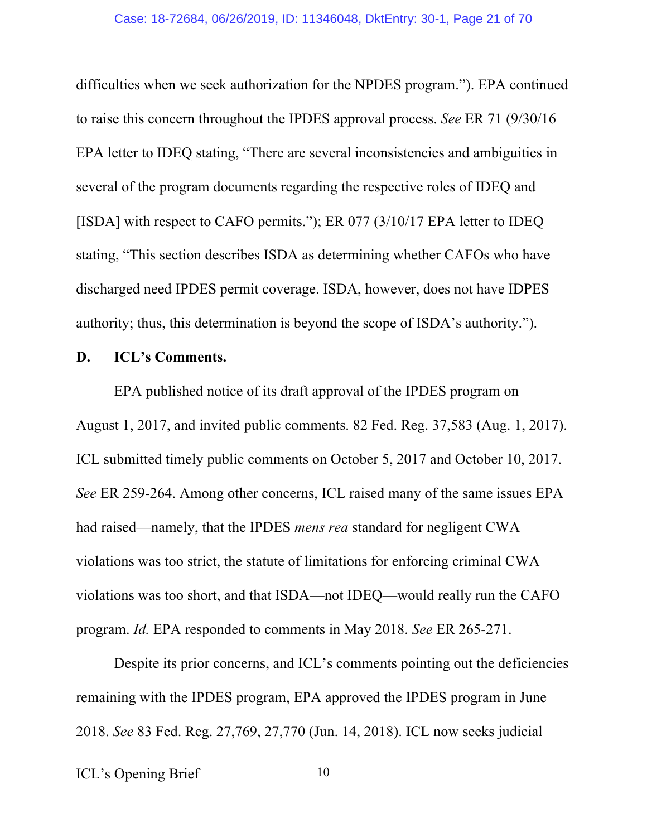difficulties when we seek authorization for the NPDES program."). EPA continued to raise this concern throughout the IPDES approval process. *See* ER 71 (9/30/16 EPA letter to IDEQ stating, "There are several inconsistencies and ambiguities in several of the program documents regarding the respective roles of IDEQ and [ISDA] with respect to CAFO permits."); ER 077 (3/10/17 EPA letter to IDEQ stating, "This section describes ISDA as determining whether CAFOs who have discharged need IPDES permit coverage. ISDA, however, does not have IDPES authority; thus, this determination is beyond the scope of ISDA's authority.").

#### **D. ICL's Comments.**

EPA published notice of its draft approval of the IPDES program on August 1, 2017, and invited public comments. 82 Fed. Reg. 37,583 (Aug. 1, 2017). ICL submitted timely public comments on October 5, 2017 and October 10, 2017. *See* ER 259-264. Among other concerns, ICL raised many of the same issues EPA had raised—namely, that the IPDES *mens rea* standard for negligent CWA violations was too strict, the statute of limitations for enforcing criminal CWA violations was too short, and that ISDA—not IDEQ—would really run the CAFO program. *Id.* EPA responded to comments in May 2018. *See* ER 265-271.

Despite its prior concerns, and ICL's comments pointing out the deficiencies remaining with the IPDES program, EPA approved the IPDES program in June 2018. *See* 83 Fed. Reg. 27,769, 27,770 (Jun. 14, 2018). ICL now seeks judicial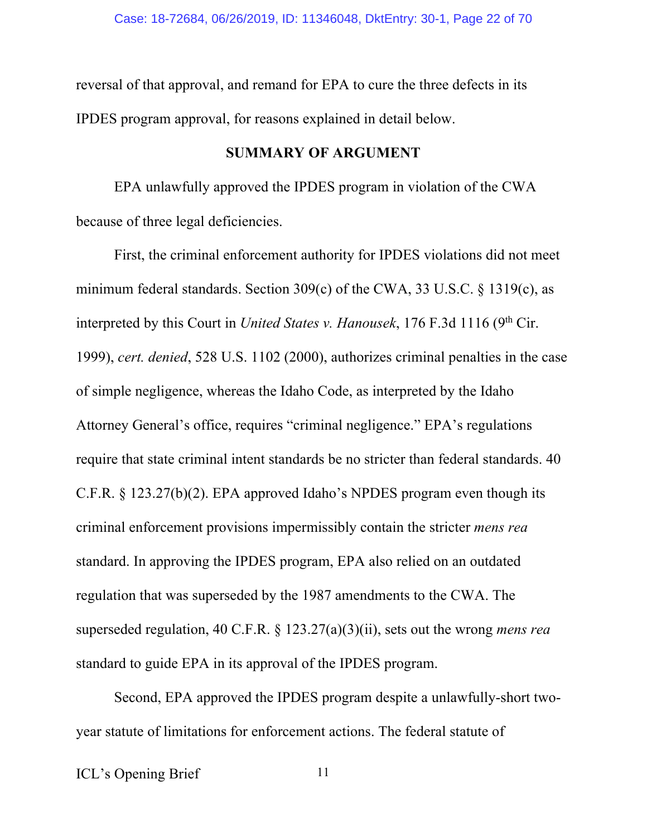reversal of that approval, and remand for EPA to cure the three defects in its IPDES program approval, for reasons explained in detail below.

#### **SUMMARY OF ARGUMENT**

EPA unlawfully approved the IPDES program in violation of the CWA because of three legal deficiencies.

First, the criminal enforcement authority for IPDES violations did not meet minimum federal standards. Section 309(c) of the CWA, 33 U.S.C. § 1319(c), as interpreted by this Court in *United States v. Hanousek*, 176 F.3d 1116 (9<sup>th</sup> Cir. 1999), *cert. denied*, 528 U.S. 1102 (2000), authorizes criminal penalties in the case of simple negligence, whereas the Idaho Code, as interpreted by the Idaho Attorney General's office, requires "criminal negligence." EPA's regulations require that state criminal intent standards be no stricter than federal standards. 40 C.F.R. § 123.27(b)(2). EPA approved Idaho's NPDES program even though its criminal enforcement provisions impermissibly contain the stricter *mens rea* standard. In approving the IPDES program, EPA also relied on an outdated regulation that was superseded by the 1987 amendments to the CWA. The superseded regulation, 40 C.F.R. § 123.27(a)(3)(ii), sets out the wrong *mens rea* standard to guide EPA in its approval of the IPDES program.

Second, EPA approved the IPDES program despite a unlawfully-short twoyear statute of limitations for enforcement actions. The federal statute of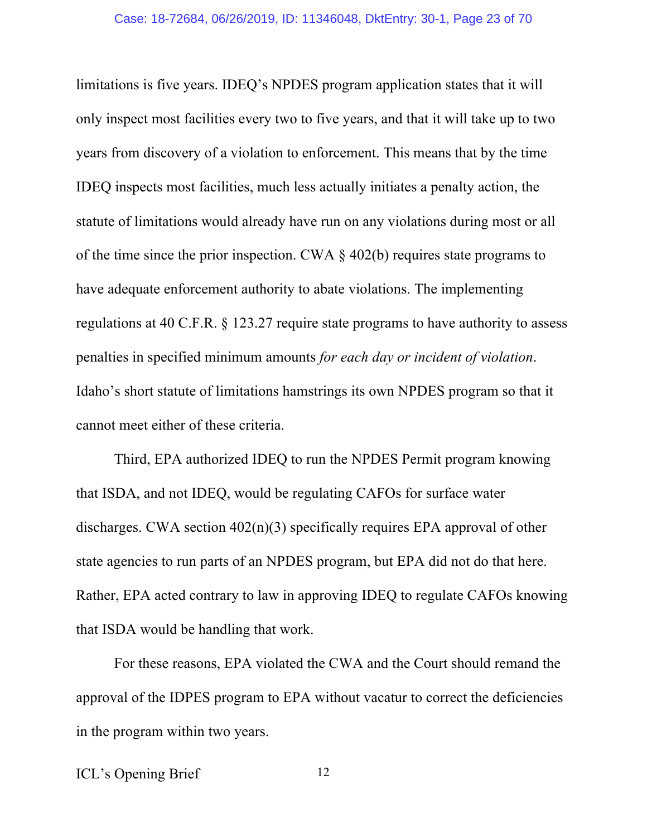limitations is five years. IDEQ's NPDES program application states that it will only inspect most facilities every two to five years, and that it will take up to two years from discovery of a violation to enforcement. This means that by the time IDEQ inspects most facilities, much less actually initiates a penalty action, the statute of limitations would already have run on any violations during most or all of the time since the prior inspection. CWA § 402(b) requires state programs to have adequate enforcement authority to abate violations. The implementing regulations at 40 C.F.R. § 123.27 require state programs to have authority to assess penalties in specified minimum amounts *for each day or incident of violation*. Idaho's short statute of limitations hamstrings its own NPDES program so that it cannot meet either of these criteria.

Third, EPA authorized IDEQ to run the NPDES Permit program knowing that ISDA, and not IDEQ, would be regulating CAFOs for surface water discharges. CWA section 402(n)(3) specifically requires EPA approval of other state agencies to run parts of an NPDES program, but EPA did not do that here. Rather, EPA acted contrary to law in approving IDEQ to regulate CAFOs knowing that ISDA would be handling that work.

For these reasons, EPA violated the CWA and the Court should remand the approval of the IDPES program to EPA without vacatur to correct the deficiencies in the program within two years.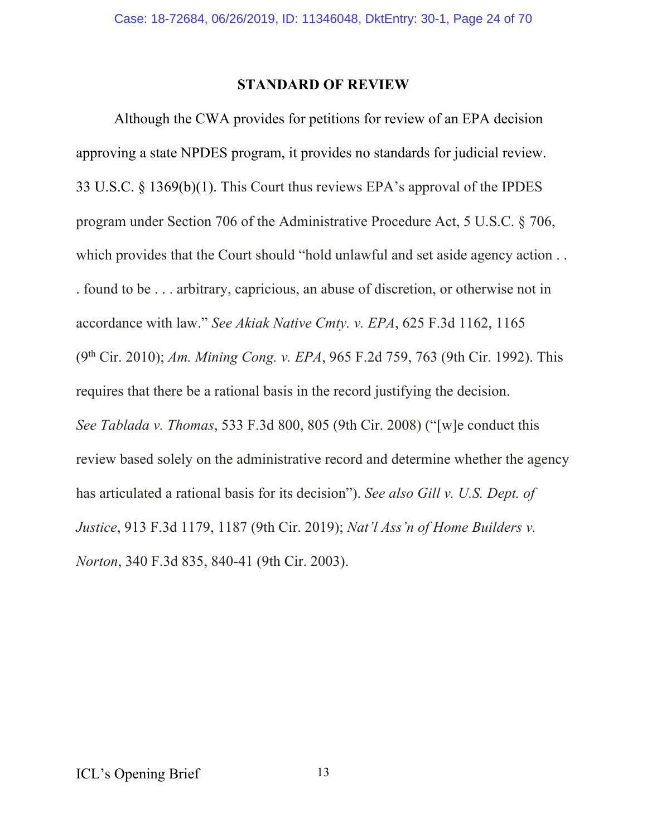#### **STANDARD OF REVIEW**

Although the CWA provides for petitions for review of an EPA decision approving a state NPDES program, it provides no standards for judicial review. 33 U.S.C. § 1369(b)(1). This Court thus reviews EPA's approval of the IPDES program under Section 706 of the Administrative Procedure Act, 5 U.S.C. § 706, which provides that the Court should "hold unlawful and set aside agency action . . . found to be . . . arbitrary, capricious, an abuse of discretion, or otherwise not in accordance with law." *See Akiak Native Cmty. v. EPA*, 625 F.3d 1162, 1165 (9th Cir. 2010); *Am. Mining Cong. v. EPA*, 965 F.2d 759, 763 (9th Cir. 1992). This requires that there be a rational basis in the record justifying the decision. *See Tablada v. Thomas*, 533 F.3d 800, 805 (9th Cir. 2008) ("[w]e conduct this review based solely on the administrative record and determine whether the agency has articulated a rational basis for its decision"). *See also Gill v. U.S. Dept. of Justice*, 913 F.3d 1179, 1187 (9th Cir. 2019); *Nat'l Ass'n of Home Builders v. Norton*, 340 F.3d 835, 840-41 (9th Cir. 2003).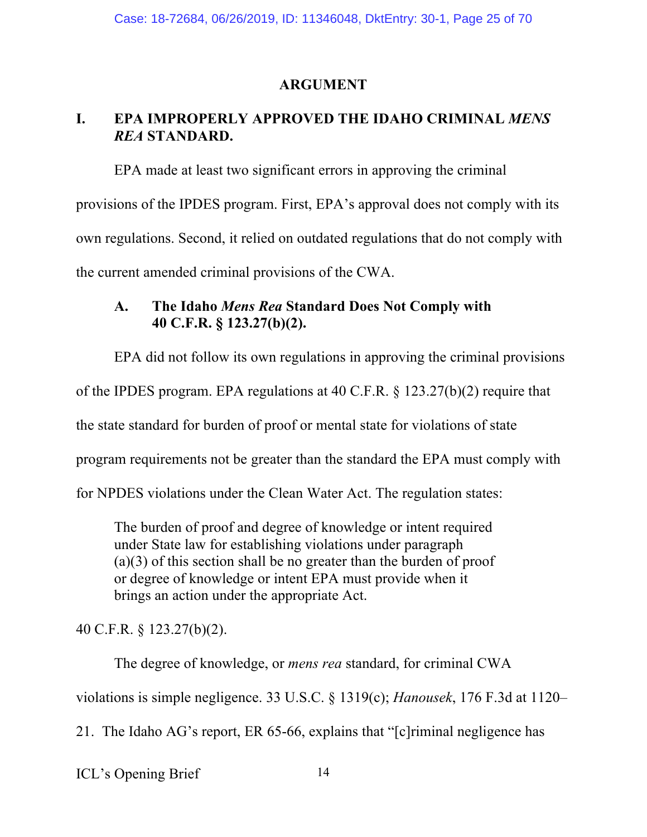#### **ARGUMENT**

### **I. EPA IMPROPERLY APPROVED THE IDAHO CRIMINAL** *MENS REA* **STANDARD.**

EPA made at least two significant errors in approving the criminal provisions of the IPDES program. First, EPA's approval does not comply with its own regulations. Second, it relied on outdated regulations that do not comply with the current amended criminal provisions of the CWA.

### **A. The Idaho** *Mens Rea* **Standard Does Not Comply with 40 C.F.R. § 123.27(b)(2).**

EPA did not follow its own regulations in approving the criminal provisions

of the IPDES program. EPA regulations at 40 C.F.R. § 123.27(b)(2) require that

the state standard for burden of proof or mental state for violations of state

program requirements not be greater than the standard the EPA must comply with

for NPDES violations under the Clean Water Act. The regulation states:

The burden of proof and degree of knowledge or intent required under State law for establishing violations under paragraph (a)(3) of this section shall be no greater than the burden of proof or degree of knowledge or intent EPA must provide when it brings an action under the appropriate Act.

40 C.F.R. § 123.27(b)(2).

The degree of knowledge, or *mens rea* standard, for criminal CWA violations is simple negligence. 33 U.S.C. § 1319(c); *Hanousek*, 176 F.3d at 1120– 21. The Idaho AG's report, ER 65-66, explains that "[c]riminal negligence has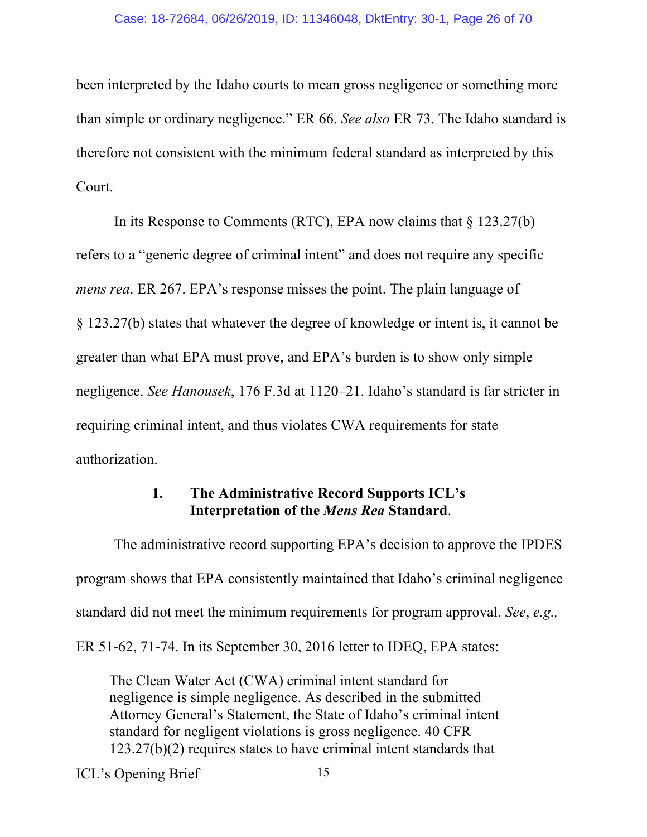been interpreted by the Idaho courts to mean gross negligence or something more than simple or ordinary negligence." ER 66. *See also* ER 73. The Idaho standard is therefore not consistent with the minimum federal standard as interpreted by this Court.

In its Response to Comments (RTC), EPA now claims that  $\S 123.27(b)$ refers to a "generic degree of criminal intent" and does not require any specific *mens rea*. ER 267. EPA's response misses the point. The plain language of § 123.27(b) states that whatever the degree of knowledge or intent is, it cannot be greater than what EPA must prove, and EPA's burden is to show only simple negligence. *See Hanousek*, 176 F.3d at 1120–21. Idaho's standard is far stricter in requiring criminal intent, and thus violates CWA requirements for state authorization.

#### **1. The Administrative Record Supports ICL's Interpretation of the** *Mens Rea* **Standard**.

The administrative record supporting EPA's decision to approve the IPDES program shows that EPA consistently maintained that Idaho's criminal negligence standard did not meet the minimum requirements for program approval. *See*, *e.g.,*  ER 51-62, 71-74. In its September 30, 2016 letter to IDEQ, EPA states:

The Clean Water Act (CWA) criminal intent standard for negligence is simple negligence. As described in the submitted Attorney General's Statement, the State of Idaho's criminal intent standard for negligent violations is gross negligence. 40 CFR 123.27(b)(2) requires states to have criminal intent standards that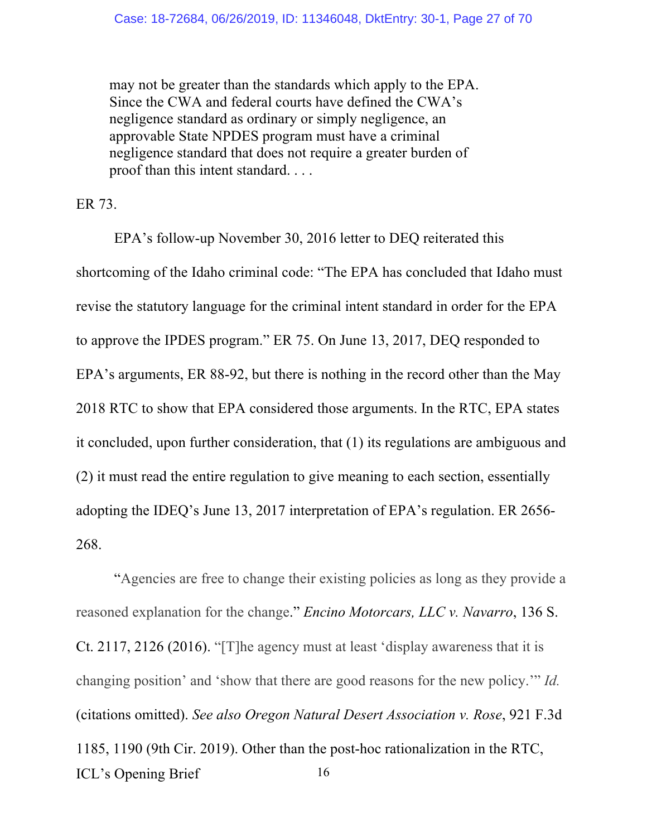may not be greater than the standards which apply to the EPA. Since the CWA and federal courts have defined the CWA's negligence standard as ordinary or simply negligence, an approvable State NPDES program must have a criminal negligence standard that does not require a greater burden of proof than this intent standard. . . .

ER 73.

EPA's follow-up November 30, 2016 letter to DEQ reiterated this shortcoming of the Idaho criminal code: "The EPA has concluded that Idaho must revise the statutory language for the criminal intent standard in order for the EPA to approve the IPDES program." ER 75. On June 13, 2017, DEQ responded to EPA's arguments, ER 88-92, but there is nothing in the record other than the May 2018 RTC to show that EPA considered those arguments. In the RTC, EPA states it concluded, upon further consideration, that (1) its regulations are ambiguous and (2) it must read the entire regulation to give meaning to each section, essentially adopting the IDEQ's June 13, 2017 interpretation of EPA's regulation. ER 2656- 268.

ICL's Opening Brief 16 "Agencies are free to change their existing policies as long as they provide a reasoned explanation for the change." *Encino Motorcars, LLC v. Navarro*, 136 S. Ct. 2117, 2126 (2016). "[T]he agency must at least 'display awareness that it is changing position' and 'show that there are good reasons for the new policy.'" *Id.* (citations omitted). *See also Oregon Natural Desert Association v. Rose*, 921 F.3d 1185, 1190 (9th Cir. 2019). Other than the post-hoc rationalization in the RTC,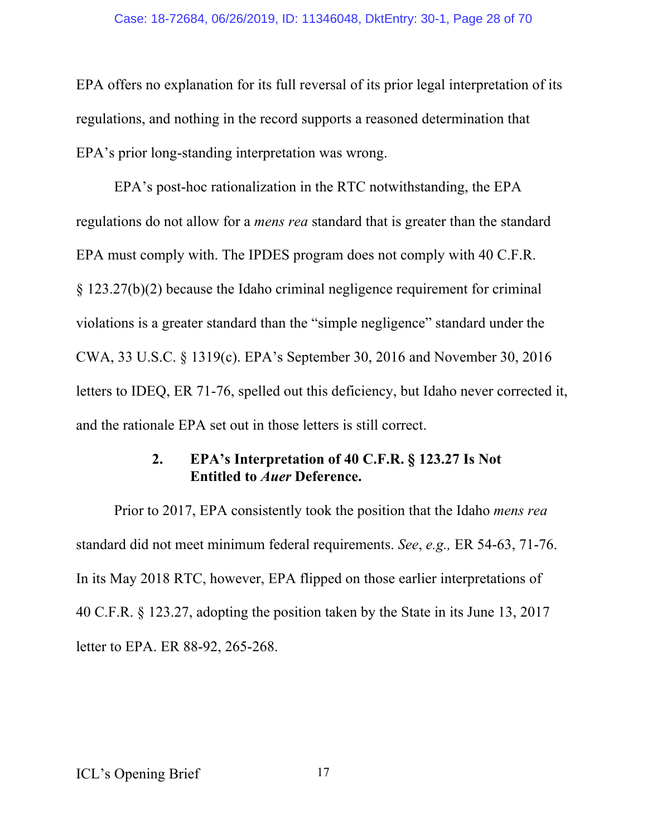EPA offers no explanation for its full reversal of its prior legal interpretation of its regulations, and nothing in the record supports a reasoned determination that EPA's prior long-standing interpretation was wrong.

EPA's post-hoc rationalization in the RTC notwithstanding, the EPA regulations do not allow for a *mens rea* standard that is greater than the standard EPA must comply with. The IPDES program does not comply with 40 C.F.R. § 123.27(b)(2) because the Idaho criminal negligence requirement for criminal violations is a greater standard than the "simple negligence" standard under the CWA, 33 U.S.C. § 1319(c). EPA's September 30, 2016 and November 30, 2016 letters to IDEQ, ER 71-76, spelled out this deficiency, but Idaho never corrected it, and the rationale EPA set out in those letters is still correct.

#### **2. EPA's Interpretation of 40 C.F.R. § 123.27 Is Not Entitled to** *Auer* **Deference.**

Prior to 2017, EPA consistently took the position that the Idaho *mens rea* standard did not meet minimum federal requirements. *See*, *e.g.,* ER 54-63, 71-76. In its May 2018 RTC, however, EPA flipped on those earlier interpretations of 40 C.F.R. § 123.27, adopting the position taken by the State in its June 13, 2017 letter to EPA. ER 88-92, 265-268.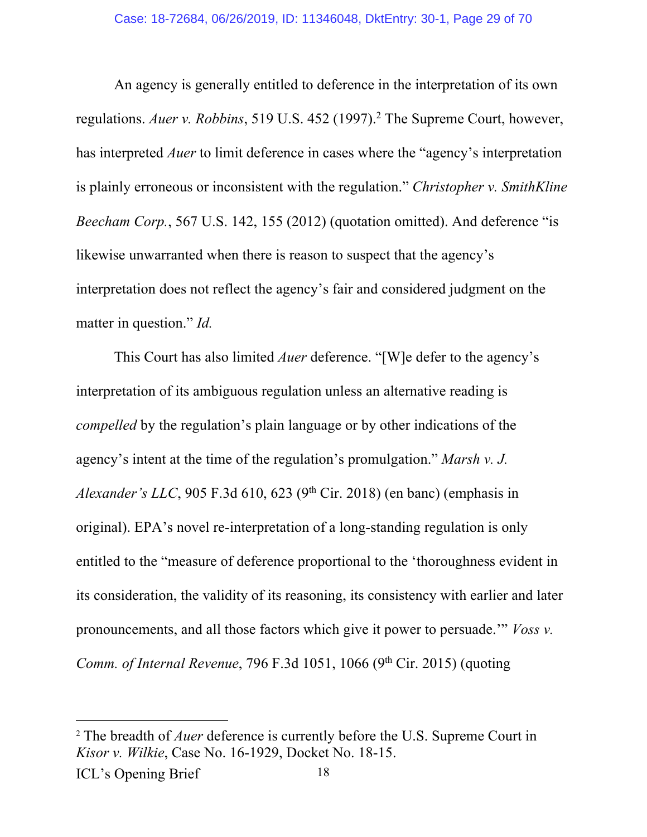An agency is generally entitled to deference in the interpretation of its own regulations. *Auer v. Robbins*, 519 U.S. 452 (1997).<sup>2</sup> The Supreme Court, however, has interpreted *Auer* to limit deference in cases where the "agency's interpretation is plainly erroneous or inconsistent with the regulation." *Christopher v. SmithKline Beecham Corp.*, 567 U.S. 142, 155 (2012) (quotation omitted). And deference "is likewise unwarranted when there is reason to suspect that the agency's interpretation does not reflect the agency's fair and considered judgment on the matter in question." *Id.*

This Court has also limited *Auer* deference. "[W]e defer to the agency's interpretation of its ambiguous regulation unless an alternative reading is *compelled* by the regulation's plain language or by other indications of the agency's intent at the time of the regulation's promulgation." *Marsh v. J. Alexander's LLC*, 905 F.3d 610, 623 (9th Cir. 2018) (en banc) (emphasis in original). EPA's novel re-interpretation of a long-standing regulation is only entitled to the "measure of deference proportional to the 'thoroughness evident in its consideration, the validity of its reasoning, its consistency with earlier and later pronouncements, and all those factors which give it power to persuade.'" *Voss v. Comm. of Internal Revenue, 796 F.3d 1051, 1066 (9th Cir. 2015) (quoting* 

 <sup>2</sup> The breadth of *Auer* deference is currently before the U.S. Supreme Court in *Kisor v. Wilkie*, Case No. 16-1929, Docket No. 18-15.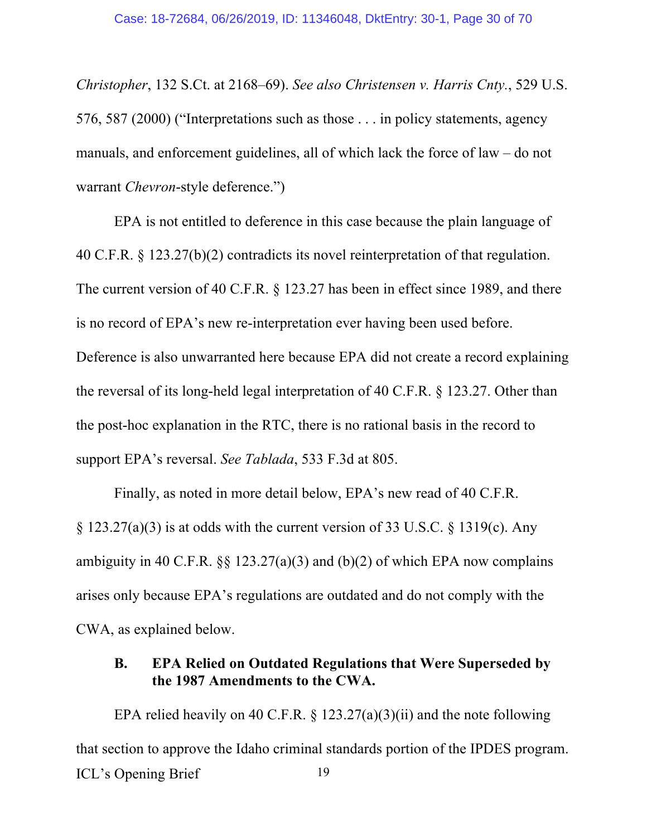*Christopher*, 132 S.Ct. at 2168–69). *See also Christensen v. Harris Cnty.*, 529 U.S. 576, 587 (2000) ("Interpretations such as those . . . in policy statements, agency manuals, and enforcement guidelines, all of which lack the force of law – do not warrant *Chevron*-style deference.")

EPA is not entitled to deference in this case because the plain language of 40 C.F.R. § 123.27(b)(2) contradicts its novel reinterpretation of that regulation. The current version of 40 C.F.R. § 123.27 has been in effect since 1989, and there is no record of EPA's new re-interpretation ever having been used before. Deference is also unwarranted here because EPA did not create a record explaining the reversal of its long-held legal interpretation of 40 C.F.R. § 123.27. Other than the post-hoc explanation in the RTC, there is no rational basis in the record to support EPA's reversal. *See Tablada*, 533 F.3d at 805.

Finally, as noted in more detail below, EPA's new read of 40 C.F.R.  $\S 123.27(a)(3)$  is at odds with the current version of 33 U.S.C.  $\S 1319(c)$ . Any ambiguity in 40 C.F.R.  $\S$   $\S$  123.27(a)(3) and (b)(2) of which EPA now complains arises only because EPA's regulations are outdated and do not comply with the CWA, as explained below.

#### **B. EPA Relied on Outdated Regulations that Were Superseded by the 1987 Amendments to the CWA.**

ICL's Opening Brief 19 EPA relied heavily on 40 C.F.R.  $\S$  123.27(a)(3)(ii) and the note following that section to approve the Idaho criminal standards portion of the IPDES program.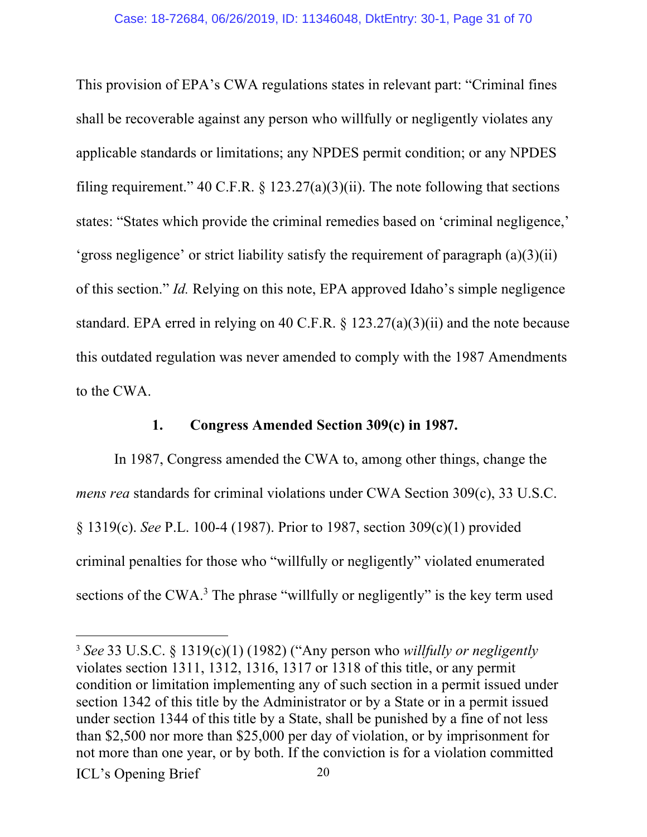This provision of EPA's CWA regulations states in relevant part: "Criminal fines shall be recoverable against any person who willfully or negligently violates any applicable standards or limitations; any NPDES permit condition; or any NPDES filing requirement." 40 C.F.R.  $\S$  123.27(a)(3)(ii). The note following that sections states: "States which provide the criminal remedies based on 'criminal negligence,' 'gross negligence' or strict liability satisfy the requirement of paragraph (a)(3)(ii) of this section." *Id.* Relying on this note, EPA approved Idaho's simple negligence standard. EPA erred in relying on 40 C.F.R. § 123.27(a)(3)(ii) and the note because this outdated regulation was never amended to comply with the 1987 Amendments to the CWA.

#### **1. Congress Amended Section 309(c) in 1987.**

In 1987, Congress amended the CWA to, among other things, change the *mens rea* standards for criminal violations under CWA Section 309(c), 33 U.S.C. § 1319(c). *See* P.L. 100-4 (1987). Prior to 1987, section 309(c)(1) provided criminal penalties for those who "willfully or negligently" violated enumerated sections of the CWA.<sup>3</sup> The phrase "willfully or negligently" is the key term used

ICL's Opening Brief 20 3 *See* 33 U.S.C. § 1319(c)(1) (1982) ("Any person who *willfully or negligently* violates section 1311, 1312, 1316, 1317 or 1318 of this title, or any permit condition or limitation implementing any of such section in a permit issued under section 1342 of this title by the Administrator or by a State or in a permit issued under section 1344 of this title by a State, shall be punished by a fine of not less than \$2,500 nor more than \$25,000 per day of violation, or by imprisonment for not more than one year, or by both. If the conviction is for a violation committed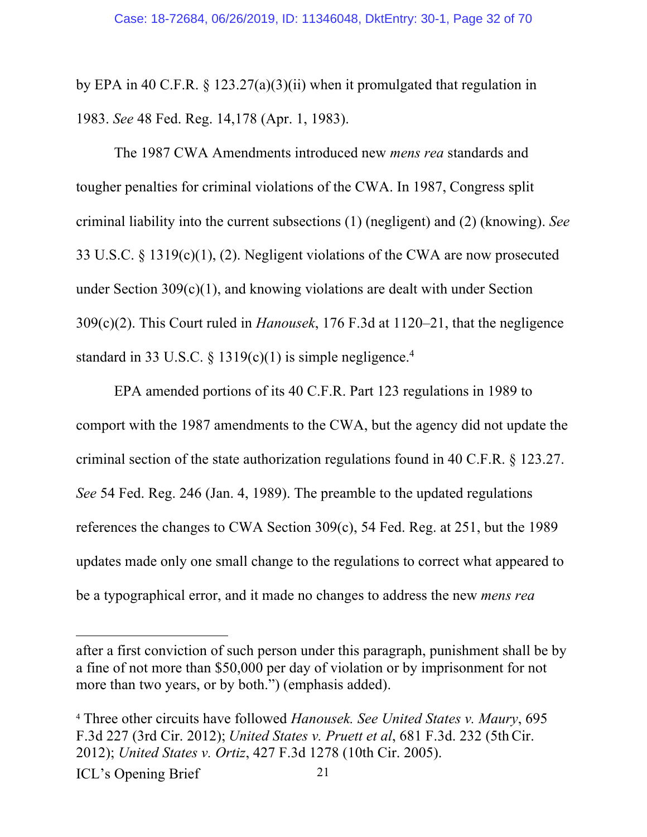by EPA in 40 C.F.R.  $\S$  123.27(a)(3)(ii) when it promulgated that regulation in 1983. *See* 48 Fed. Reg. 14,178 (Apr. 1, 1983).

The 1987 CWA Amendments introduced new *mens rea* standards and tougher penalties for criminal violations of the CWA. In 1987, Congress split criminal liability into the current subsections (1) (negligent) and (2) (knowing). *See* 33 U.S.C. § 1319(c)(1), (2). Negligent violations of the CWA are now prosecuted under Section 309(c)(1), and knowing violations are dealt with under Section 309(c)(2). This Court ruled in *Hanousek*, 176 F.3d at 1120–21, that the negligence standard in 33 U.S.C. § 1319 $(c)(1)$  is simple negligence.<sup>4</sup>

EPA amended portions of its 40 C.F.R. Part 123 regulations in 1989 to comport with the 1987 amendments to the CWA, but the agency did not update the criminal section of the state authorization regulations found in 40 C.F.R. § 123.27. *See* 54 Fed. Reg. 246 (Jan. 4, 1989). The preamble to the updated regulations references the changes to CWA Section 309(c), 54 Fed. Reg. at 251, but the 1989 updates made only one small change to the regulations to correct what appeared to be a typographical error, and it made no changes to address the new *mens rea*

<sup>4</sup> Three other circuits have followed *Hanousek. See United States v. Maury*, 695 F.3d 227 (3rd Cir. 2012); *United States v. Pruett et al*, 681 F.3d. 232 (5thCir. 2012); *United States v. Ortiz*, 427 F.3d 1278 (10th Cir. 2005).

ICL's Opening Brief 21

 $\overline{a}$ 

after a first conviction of such person under this paragraph, punishment shall be by a fine of not more than \$50,000 per day of violation or by imprisonment for not more than two years, or by both.") (emphasis added).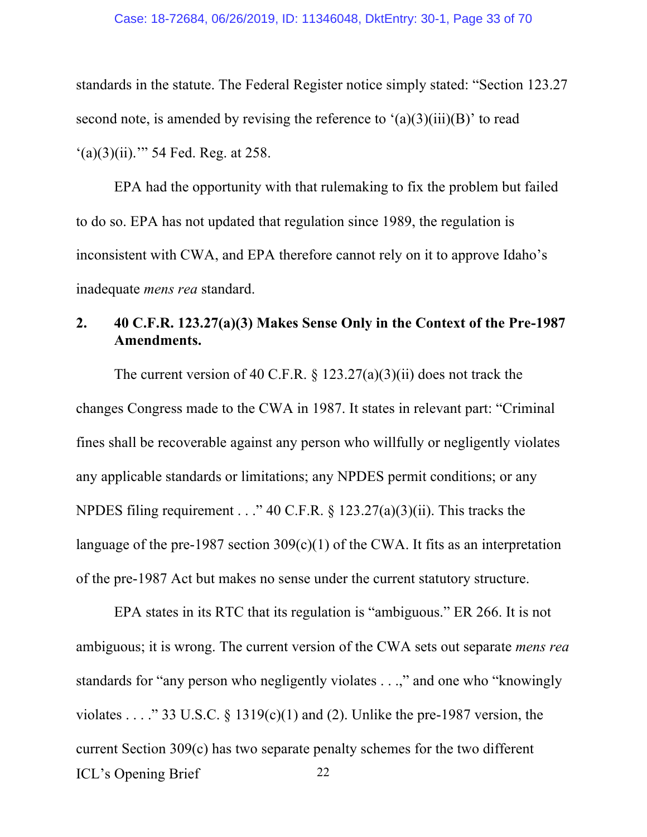standards in the statute. The Federal Register notice simply stated: "Section 123.27 second note, is amended by revising the reference to  $(a)(3)(iii)(B)$ ' to read '(a)(3)(ii).'" 54 Fed. Reg. at 258.

EPA had the opportunity with that rulemaking to fix the problem but failed to do so. EPA has not updated that regulation since 1989, the regulation is inconsistent with CWA, and EPA therefore cannot rely on it to approve Idaho's inadequate *mens rea* standard.

#### **2. 40 C.F.R. 123.27(a)(3) Makes Sense Only in the Context of the Pre-1987 Amendments.**

The current version of 40 C.F.R.  $\S$  123.27(a)(3)(ii) does not track the changes Congress made to the CWA in 1987. It states in relevant part: "Criminal fines shall be recoverable against any person who willfully or negligently violates any applicable standards or limitations; any NPDES permit conditions; or any NPDES filing requirement . . ." 40 C.F.R. § 123.27(a)(3)(ii). This tracks the language of the pre-1987 section 309(c)(1) of the CWA. It fits as an interpretation of the pre-1987 Act but makes no sense under the current statutory structure.

ICL's Opening Brief 22 EPA states in its RTC that its regulation is "ambiguous." ER 266. It is not ambiguous; it is wrong. The current version of the CWA sets out separate *mens rea* standards for "any person who negligently violates . . .," and one who "knowingly violates . . . ." 33 U.S.C. § 1319(c)(1) and (2). Unlike the pre-1987 version, the current Section 309(c) has two separate penalty schemes for the two different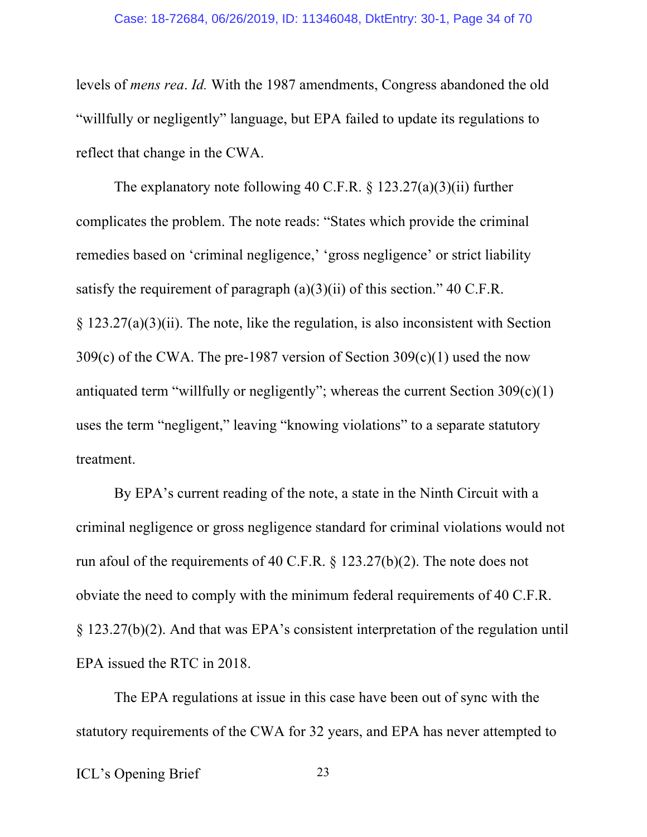levels of *mens rea*. *Id.* With the 1987 amendments, Congress abandoned the old "willfully or negligently" language, but EPA failed to update its regulations to reflect that change in the CWA.

The explanatory note following 40 C.F.R. § 123.27(a)(3)(ii) further complicates the problem. The note reads: "States which provide the criminal remedies based on 'criminal negligence,' 'gross negligence' or strict liability satisfy the requirement of paragraph  $(a)(3)(ii)$  of this section." 40 C.F.R. § 123.27(a)(3)(ii). The note, like the regulation, is also inconsistent with Section  $309(c)$  of the CWA. The pre-1987 version of Section  $309(c)(1)$  used the now antiquated term "willfully or negligently"; whereas the current Section  $309(c)(1)$ uses the term "negligent," leaving "knowing violations" to a separate statutory treatment.

By EPA's current reading of the note, a state in the Ninth Circuit with a criminal negligence or gross negligence standard for criminal violations would not run afoul of the requirements of 40 C.F.R. § 123.27(b)(2). The note does not obviate the need to comply with the minimum federal requirements of 40 C.F.R. § 123.27(b)(2). And that was EPA's consistent interpretation of the regulation until EPA issued the RTC in 2018.

The EPA regulations at issue in this case have been out of sync with the statutory requirements of the CWA for 32 years, and EPA has never attempted to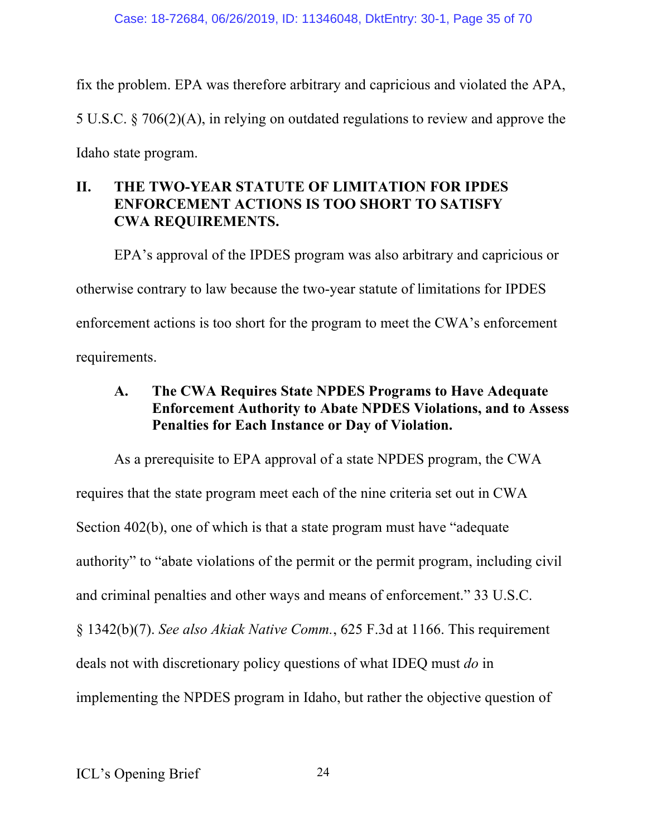fix the problem. EPA was therefore arbitrary and capricious and violated the APA, 5 U.S.C. § 706(2)(A), in relying on outdated regulations to review and approve the Idaho state program.

#### **II. THE TWO-YEAR STATUTE OF LIMITATION FOR IPDES ENFORCEMENT ACTIONS IS TOO SHORT TO SATISFY CWA REQUIREMENTS.**

EPA's approval of the IPDES program was also arbitrary and capricious or otherwise contrary to law because the two-year statute of limitations for IPDES enforcement actions is too short for the program to meet the CWA's enforcement requirements.

### **A. The CWA Requires State NPDES Programs to Have Adequate Enforcement Authority to Abate NPDES Violations, and to Assess Penalties for Each Instance or Day of Violation.**

As a prerequisite to EPA approval of a state NPDES program, the CWA requires that the state program meet each of the nine criteria set out in CWA Section 402(b), one of which is that a state program must have "adequate authority" to "abate violations of the permit or the permit program, including civil and criminal penalties and other ways and means of enforcement." 33 U.S.C. § 1342(b)(7). *See also Akiak Native Comm.*, 625 F.3d at 1166. This requirement deals not with discretionary policy questions of what IDEQ must *do* in implementing the NPDES program in Idaho, but rather the objective question of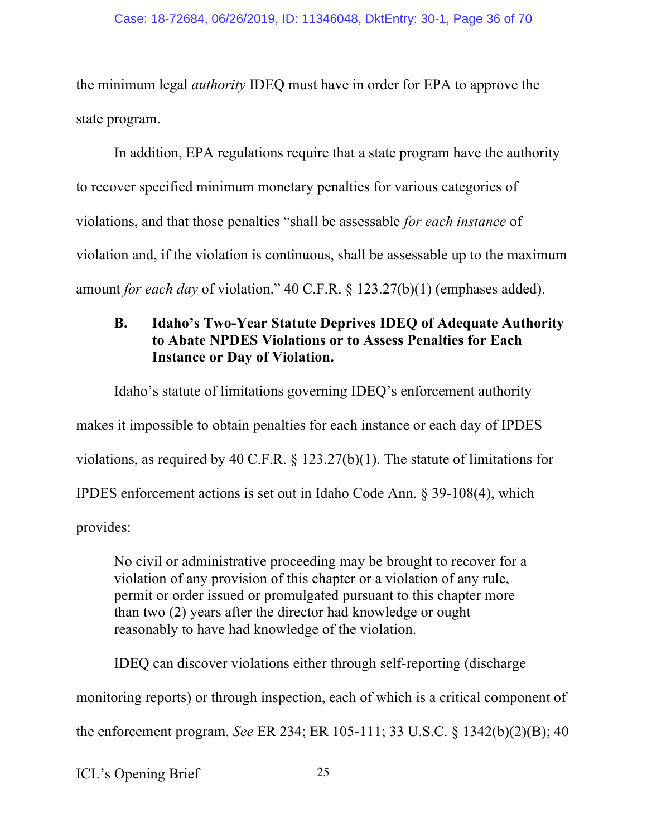the minimum legal *authority* IDEQ must have in order for EPA to approve the state program.

In addition, EPA regulations require that a state program have the authority to recover specified minimum monetary penalties for various categories of violations, and that those penalties "shall be assessable *for each instance* of violation and, if the violation is continuous, shall be assessable up to the maximum amount *for each day* of violation." 40 C.F.R. § 123.27(b)(1) (emphases added).

#### **B. Idaho's Two-Year Statute Deprives IDEQ of Adequate Authority to Abate NPDES Violations or to Assess Penalties for Each Instance or Day of Violation.**

Idaho's statute of limitations governing IDEQ's enforcement authority makes it impossible to obtain penalties for each instance or each day of IPDES violations, as required by 40 C.F.R. § 123.27(b)(1). The statute of limitations for IPDES enforcement actions is set out in Idaho Code Ann. § 39-108(4), which provides:

No civil or administrative proceeding may be brought to recover for a violation of any provision of this chapter or a violation of any rule, permit or order issued or promulgated pursuant to this chapter more than two (2) years after the director had knowledge or ought reasonably to have had knowledge of the violation.

IDEQ can discover violations either through self-reporting (discharge monitoring reports) or through inspection, each of which is a critical component of the enforcement program. *See* ER 234; ER 105-111; 33 U.S.C. § 1342(b)(2)(B); 40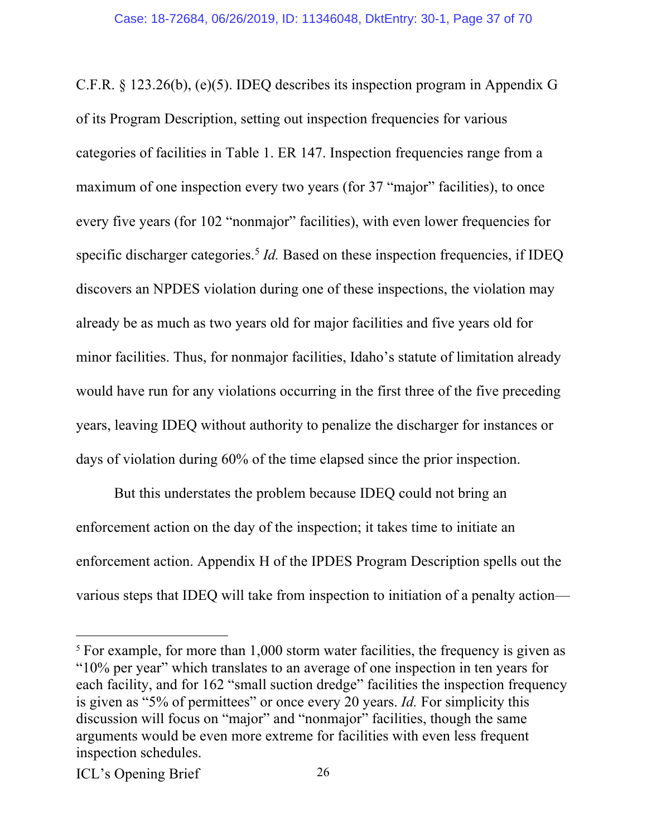C.F.R. § 123.26(b), (e)(5). IDEQ describes its inspection program in Appendix G of its Program Description, setting out inspection frequencies for various categories of facilities in Table 1. ER 147. Inspection frequencies range from a maximum of one inspection every two years (for 37 "major" facilities), to once every five years (for 102 "nonmajor" facilities), with even lower frequencies for specific discharger categories.<sup>5</sup> *Id*. Based on these inspection frequencies, if IDEQ discovers an NPDES violation during one of these inspections, the violation may already be as much as two years old for major facilities and five years old for minor facilities. Thus, for nonmajor facilities, Idaho's statute of limitation already would have run for any violations occurring in the first three of the five preceding years, leaving IDEQ without authority to penalize the discharger for instances or days of violation during 60% of the time elapsed since the prior inspection.

But this understates the problem because IDEQ could not bring an enforcement action on the day of the inspection; it takes time to initiate an enforcement action. Appendix H of the IPDES Program Description spells out the various steps that IDEQ will take from inspection to initiation of a penalty action—

<sup>&</sup>lt;sup>5</sup> For example, for more than 1,000 storm water facilities, the frequency is given as "10% per year" which translates to an average of one inspection in ten years for each facility, and for 162 "small suction dredge" facilities the inspection frequency is given as "5% of permittees" or once every 20 years. *Id.* For simplicity this discussion will focus on "major" and "nonmajor" facilities, though the same arguments would be even more extreme for facilities with even less frequent inspection schedules.

ICL's Opening Brief 26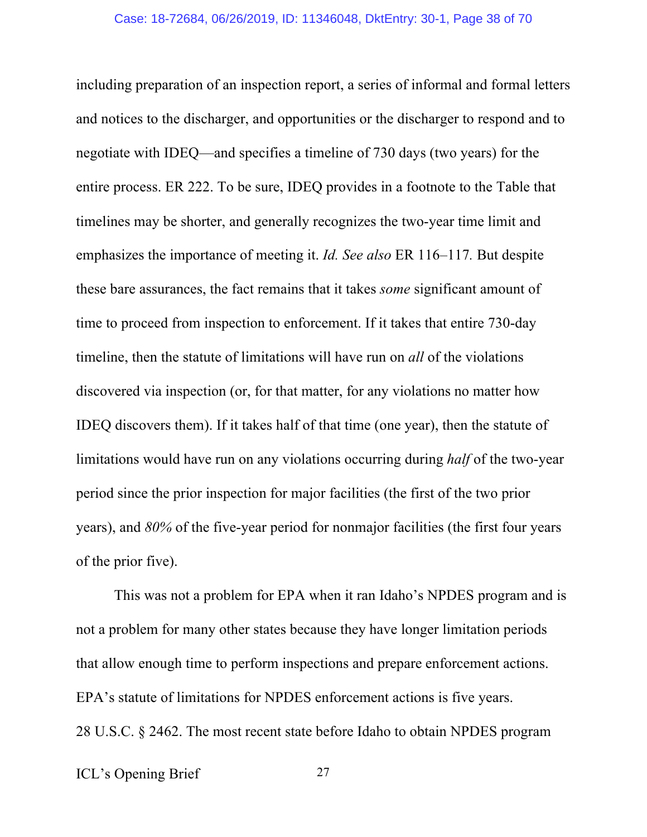including preparation of an inspection report, a series of informal and formal letters and notices to the discharger, and opportunities or the discharger to respond and to negotiate with IDEQ—and specifies a timeline of 730 days (two years) for the entire process. ER 222. To be sure, IDEQ provides in a footnote to the Table that timelines may be shorter, and generally recognizes the two-year time limit and emphasizes the importance of meeting it. *Id. See also* ER 116–117*.* But despite these bare assurances, the fact remains that it takes *some* significant amount of time to proceed from inspection to enforcement. If it takes that entire 730-day timeline, then the statute of limitations will have run on *all* of the violations discovered via inspection (or, for that matter, for any violations no matter how IDEQ discovers them). If it takes half of that time (one year), then the statute of limitations would have run on any violations occurring during *half* of the two-year period since the prior inspection for major facilities (the first of the two prior years), and *80%* of the five-year period for nonmajor facilities (the first four years of the prior five).

This was not a problem for EPA when it ran Idaho's NPDES program and is not a problem for many other states because they have longer limitation periods that allow enough time to perform inspections and prepare enforcement actions. EPA's statute of limitations for NPDES enforcement actions is five years. 28 U.S.C. § 2462. The most recent state before Idaho to obtain NPDES program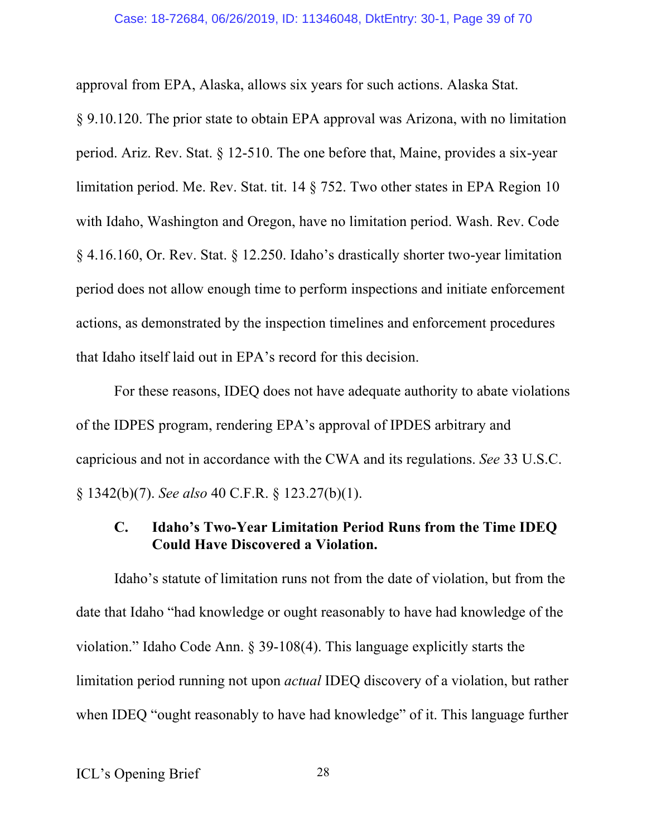#### Case: 18-72684, 06/26/2019, ID: 11346048, DktEntry: 30-1, Page 39 of 70

approval from EPA, Alaska, allows six years for such actions. Alaska Stat.

§ 9.10.120. The prior state to obtain EPA approval was Arizona, with no limitation period. Ariz. Rev. Stat. § 12-510. The one before that, Maine, provides a six-year limitation period. Me. Rev. Stat. tit. 14 § 752. Two other states in EPA Region 10 with Idaho, Washington and Oregon, have no limitation period. Wash. Rev. Code § 4.16.160, Or. Rev. Stat. § 12.250. Idaho's drastically shorter two-year limitation period does not allow enough time to perform inspections and initiate enforcement actions, as demonstrated by the inspection timelines and enforcement procedures that Idaho itself laid out in EPA's record for this decision.

For these reasons, IDEQ does not have adequate authority to abate violations of the IDPES program, rendering EPA's approval of IPDES arbitrary and capricious and not in accordance with the CWA and its regulations. *See* 33 U.S.C. § 1342(b)(7). *See also* 40 C.F.R. § 123.27(b)(1).

#### **C. Idaho's Two-Year Limitation Period Runs from the Time IDEQ Could Have Discovered a Violation.**

Idaho's statute of limitation runs not from the date of violation, but from the date that Idaho "had knowledge or ought reasonably to have had knowledge of the violation." Idaho Code Ann. § 39-108(4). This language explicitly starts the limitation period running not upon *actual* IDEQ discovery of a violation, but rather when IDEQ "ought reasonably to have had knowledge" of it. This language further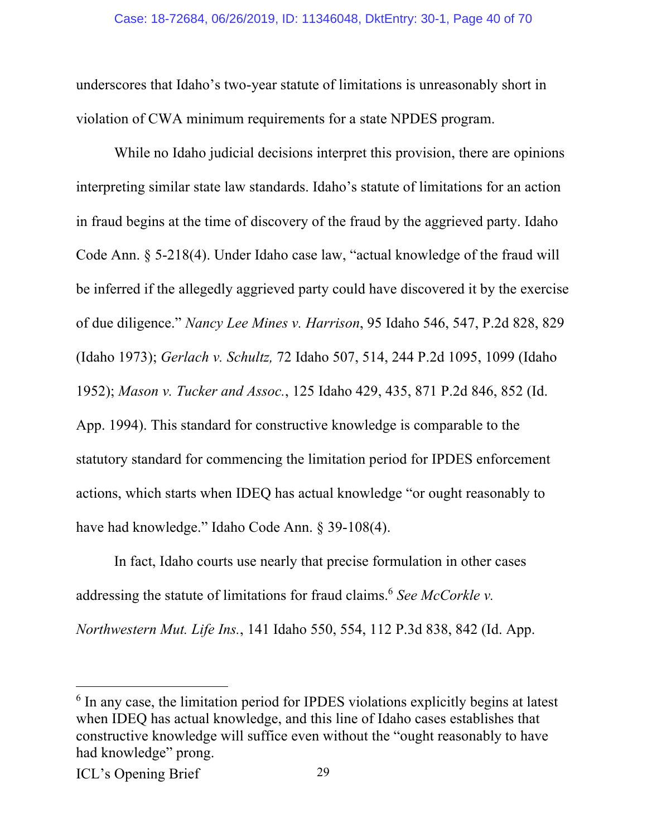underscores that Idaho's two-year statute of limitations is unreasonably short in violation of CWA minimum requirements for a state NPDES program.

While no Idaho judicial decisions interpret this provision, there are opinions interpreting similar state law standards. Idaho's statute of limitations for an action in fraud begins at the time of discovery of the fraud by the aggrieved party. Idaho Code Ann. § 5-218(4). Under Idaho case law, "actual knowledge of the fraud will be inferred if the allegedly aggrieved party could have discovered it by the exercise of due diligence." *Nancy Lee Mines v. Harrison*, 95 Idaho 546, 547, P.2d 828, 829 (Idaho 1973); *Gerlach v. Schultz,* 72 Idaho 507, 514, 244 P.2d 1095, 1099 (Idaho 1952); *Mason v. Tucker and Assoc.*, 125 Idaho 429, 435, 871 P.2d 846, 852 (Id. App. 1994). This standard for constructive knowledge is comparable to the statutory standard for commencing the limitation period for IPDES enforcement actions, which starts when IDEQ has actual knowledge "or ought reasonably to have had knowledge." Idaho Code Ann. § 39-108(4).

In fact, Idaho courts use nearly that precise formulation in other cases addressing the statute of limitations for fraud claims.6 *See McCorkle v. Northwestern Mut. Life Ins.*, 141 Idaho 550, 554, 112 P.3d 838, 842 (Id. App.

 6 In any case, the limitation period for IPDES violations explicitly begins at latest when IDEQ has actual knowledge, and this line of Idaho cases establishes that constructive knowledge will suffice even without the "ought reasonably to have had knowledge" prong.

ICL's Opening Brief 29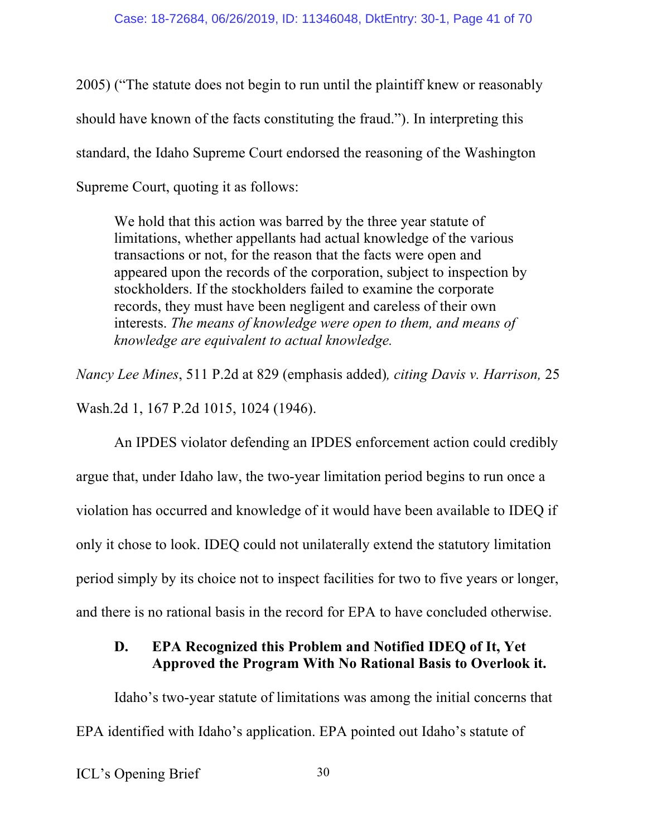2005) ("The statute does not begin to run until the plaintiff knew or reasonably should have known of the facts constituting the fraud."). In interpreting this standard, the Idaho Supreme Court endorsed the reasoning of the Washington Supreme Court, quoting it as follows:

We hold that this action was barred by the three year statute of limitations, whether appellants had actual knowledge of the various transactions or not, for the reason that the facts were open and appeared upon the records of the corporation, subject to inspection by stockholders. If the stockholders failed to examine the corporate records, they must have been negligent and careless of their own interests. *The means of knowledge were open to them, and means of knowledge are equivalent to actual knowledge.*

*Nancy Lee Mines*, 511 P.2d at 829 (emphasis added)*, citing Davis v. Harrison,* 25 Wash.2d 1, 167 P.2d 1015, 1024 (1946).

An IPDES violator defending an IPDES enforcement action could credibly argue that, under Idaho law, the two-year limitation period begins to run once a violation has occurred and knowledge of it would have been available to IDEQ if only it chose to look. IDEQ could not unilaterally extend the statutory limitation period simply by its choice not to inspect facilities for two to five years or longer, and there is no rational basis in the record for EPA to have concluded otherwise.

#### **D. EPA Recognized this Problem and Notified IDEQ of It, Yet Approved the Program With No Rational Basis to Overlook it.**

Idaho's two-year statute of limitations was among the initial concerns that EPA identified with Idaho's application. EPA pointed out Idaho's statute of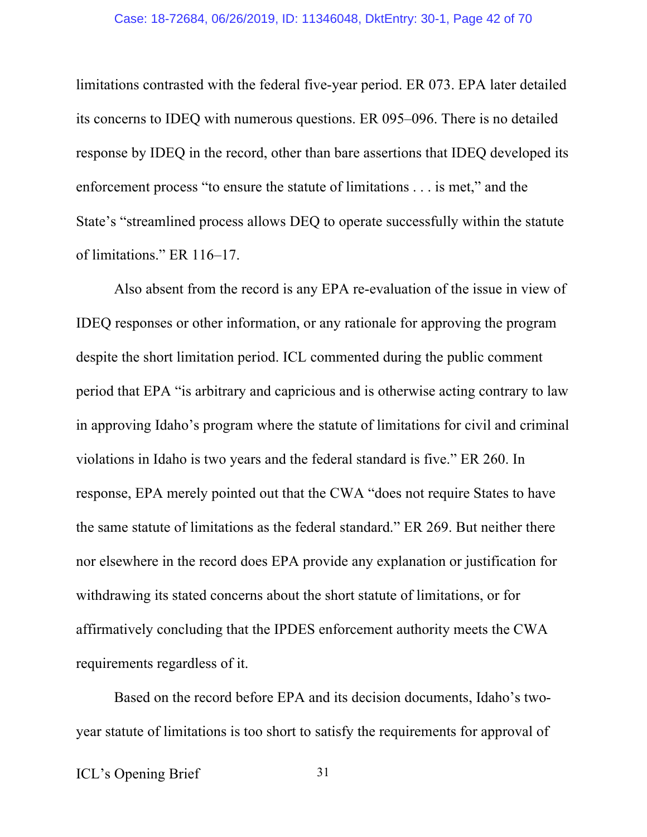limitations contrasted with the federal five-year period. ER 073. EPA later detailed its concerns to IDEQ with numerous questions. ER 095–096. There is no detailed response by IDEQ in the record, other than bare assertions that IDEQ developed its enforcement process "to ensure the statute of limitations . . . is met," and the State's "streamlined process allows DEQ to operate successfully within the statute of limitations." ER 116–17.

Also absent from the record is any EPA re-evaluation of the issue in view of IDEQ responses or other information, or any rationale for approving the program despite the short limitation period. ICL commented during the public comment period that EPA "is arbitrary and capricious and is otherwise acting contrary to law in approving Idaho's program where the statute of limitations for civil and criminal violations in Idaho is two years and the federal standard is five." ER 260. In response, EPA merely pointed out that the CWA "does not require States to have the same statute of limitations as the federal standard." ER 269. But neither there nor elsewhere in the record does EPA provide any explanation or justification for withdrawing its stated concerns about the short statute of limitations, or for affirmatively concluding that the IPDES enforcement authority meets the CWA requirements regardless of it.

Based on the record before EPA and its decision documents, Idaho's twoyear statute of limitations is too short to satisfy the requirements for approval of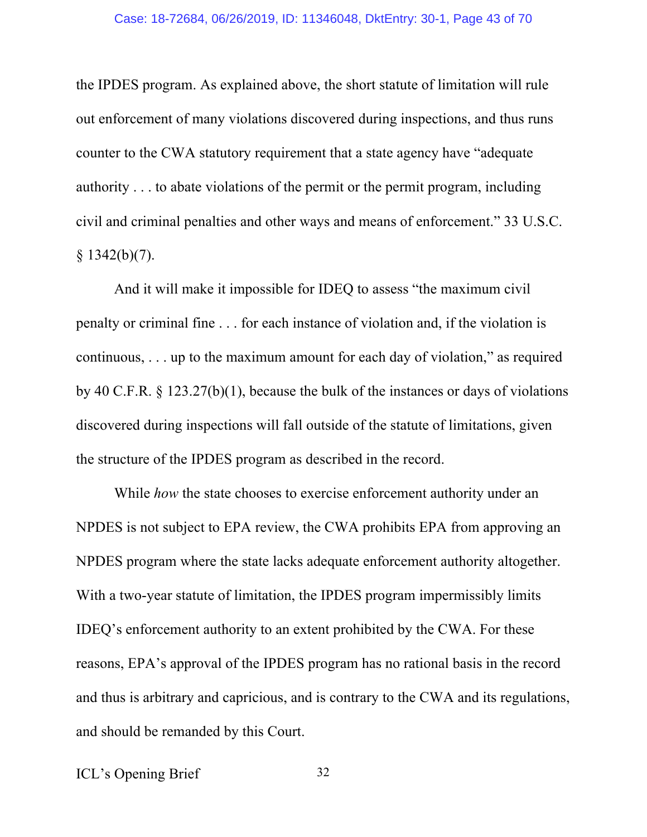the IPDES program. As explained above, the short statute of limitation will rule out enforcement of many violations discovered during inspections, and thus runs counter to the CWA statutory requirement that a state agency have "adequate authority . . . to abate violations of the permit or the permit program, including civil and criminal penalties and other ways and means of enforcement." 33 U.S.C.  $§$  1342(b)(7).

And it will make it impossible for IDEQ to assess "the maximum civil penalty or criminal fine . . . for each instance of violation and, if the violation is continuous, . . . up to the maximum amount for each day of violation," as required by 40 C.F.R. § 123.27(b)(1), because the bulk of the instances or days of violations discovered during inspections will fall outside of the statute of limitations, given the structure of the IPDES program as described in the record.

While *how* the state chooses to exercise enforcement authority under an NPDES is not subject to EPA review, the CWA prohibits EPA from approving an NPDES program where the state lacks adequate enforcement authority altogether. With a two-year statute of limitation, the IPDES program impermissibly limits IDEQ's enforcement authority to an extent prohibited by the CWA. For these reasons, EPA's approval of the IPDES program has no rational basis in the record and thus is arbitrary and capricious, and is contrary to the CWA and its regulations, and should be remanded by this Court.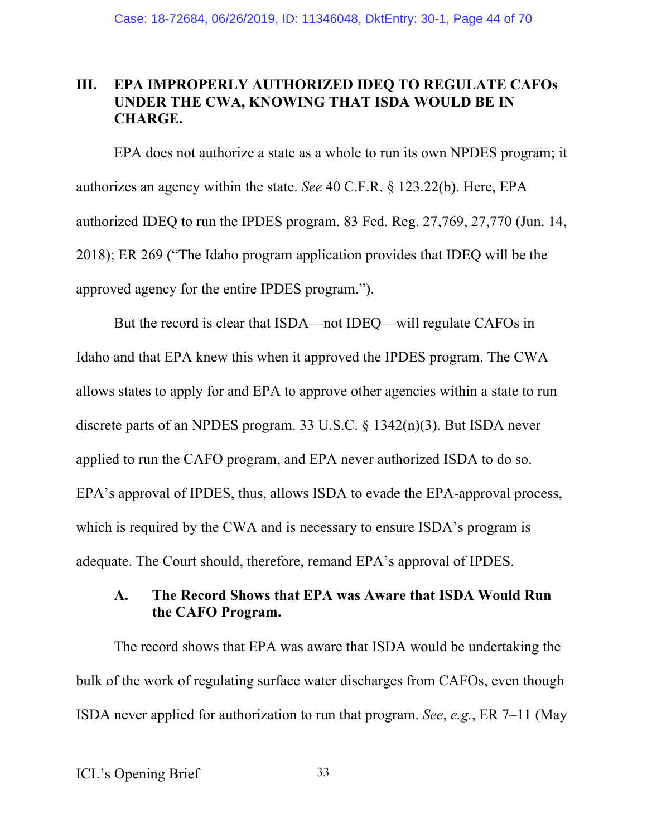### **III. EPA IMPROPERLY AUTHORIZED IDEQ TO REGULATE CAFOs UNDER THE CWA, KNOWING THAT ISDA WOULD BE IN CHARGE.**

EPA does not authorize a state as a whole to run its own NPDES program; it authorizes an agency within the state. *See* 40 C.F.R. § 123.22(b). Here, EPA authorized IDEQ to run the IPDES program. 83 Fed. Reg. 27,769, 27,770 (Jun. 14, 2018); ER 269 ("The Idaho program application provides that IDEQ will be the approved agency for the entire IPDES program.").

But the record is clear that ISDA—not IDEQ—will regulate CAFOs in Idaho and that EPA knew this when it approved the IPDES program. The CWA allows states to apply for and EPA to approve other agencies within a state to run discrete parts of an NPDES program. 33 U.S.C. § 1342(n)(3). But ISDA never applied to run the CAFO program, and EPA never authorized ISDA to do so. EPA's approval of IPDES, thus, allows ISDA to evade the EPA-approval process, which is required by the CWA and is necessary to ensure ISDA's program is adequate. The Court should, therefore, remand EPA's approval of IPDES.

#### **A. The Record Shows that EPA was Aware that ISDA Would Run the CAFO Program.**

The record shows that EPA was aware that ISDA would be undertaking the bulk of the work of regulating surface water discharges from CAFOs, even though ISDA never applied for authorization to run that program. *See*, *e.g.*, ER 7–11 (May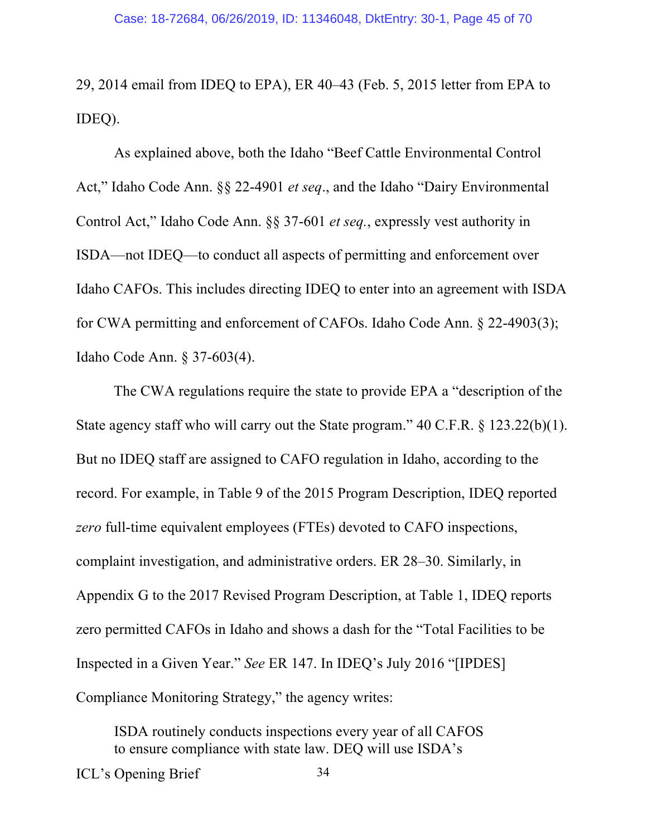29, 2014 email from IDEQ to EPA), ER 40–43 (Feb. 5, 2015 letter from EPA to IDEQ).

As explained above, both the Idaho "Beef Cattle Environmental Control Act," Idaho Code Ann. §§ 22-4901 *et seq*., and the Idaho "Dairy Environmental Control Act," Idaho Code Ann. §§ 37-601 *et seq.*, expressly vest authority in ISDA—not IDEQ—to conduct all aspects of permitting and enforcement over Idaho CAFOs. This includes directing IDEQ to enter into an agreement with ISDA for CWA permitting and enforcement of CAFOs. Idaho Code Ann. § 22-4903(3); Idaho Code Ann. § 37-603(4).

The CWA regulations require the state to provide EPA a "description of the State agency staff who will carry out the State program." 40 C.F.R. § 123.22(b)(1). But no IDEQ staff are assigned to CAFO regulation in Idaho, according to the record. For example, in Table 9 of the 2015 Program Description, IDEQ reported *zero* full-time equivalent employees (FTEs) devoted to CAFO inspections, complaint investigation, and administrative orders. ER 28–30. Similarly, in Appendix G to the 2017 Revised Program Description, at Table 1, IDEQ reports zero permitted CAFOs in Idaho and shows a dash for the "Total Facilities to be Inspected in a Given Year." *See* ER 147. In IDEQ's July 2016 "[IPDES] Compliance Monitoring Strategy," the agency writes:

ISDA routinely conducts inspections every year of all CAFOS to ensure compliance with state law. DEQ will use ISDA's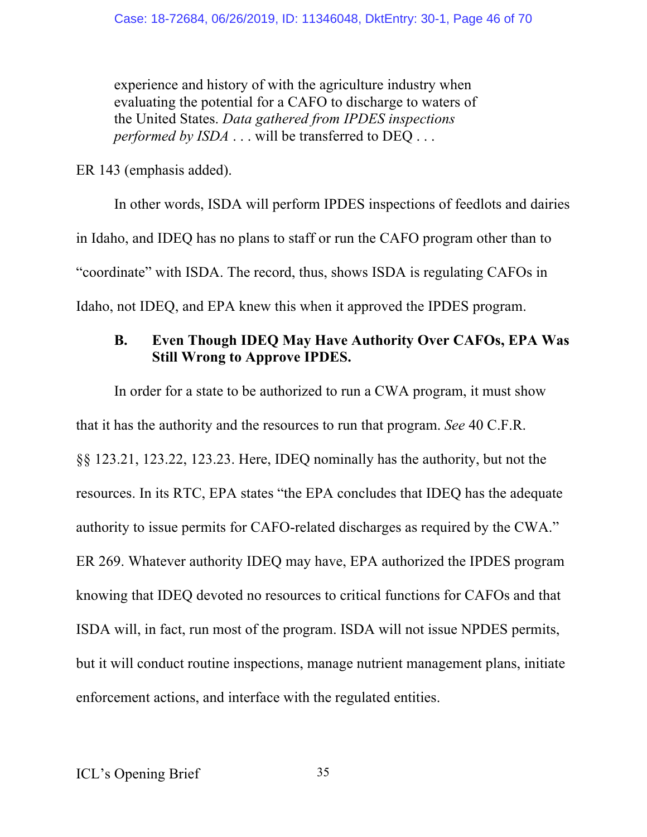experience and history of with the agriculture industry when evaluating the potential for a CAFO to discharge to waters of the United States. *Data gathered from IPDES inspections performed by ISDA* . . . will be transferred to DEQ . . .

ER 143 (emphasis added).

In other words, ISDA will perform IPDES inspections of feedlots and dairies in Idaho, and IDEQ has no plans to staff or run the CAFO program other than to "coordinate" with ISDA. The record, thus, shows ISDA is regulating CAFOs in Idaho, not IDEQ, and EPA knew this when it approved the IPDES program.

### **B. Even Though IDEQ May Have Authority Over CAFOs, EPA Was Still Wrong to Approve IPDES.**

In order for a state to be authorized to run a CWA program, it must show that it has the authority and the resources to run that program. *See* 40 C.F.R. §§ 123.21, 123.22, 123.23. Here, IDEQ nominally has the authority, but not the resources. In its RTC, EPA states "the EPA concludes that IDEQ has the adequate authority to issue permits for CAFO-related discharges as required by the CWA." ER 269. Whatever authority IDEQ may have, EPA authorized the IPDES program knowing that IDEQ devoted no resources to critical functions for CAFOs and that ISDA will, in fact, run most of the program. ISDA will not issue NPDES permits, but it will conduct routine inspections, manage nutrient management plans, initiate enforcement actions, and interface with the regulated entities.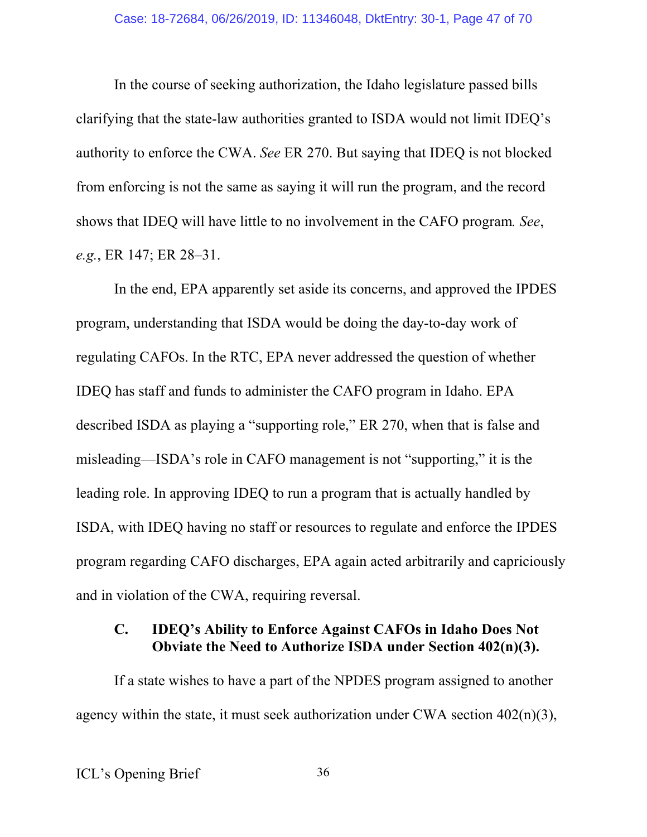In the course of seeking authorization, the Idaho legislature passed bills clarifying that the state-law authorities granted to ISDA would not limit IDEQ's authority to enforce the CWA. *See* ER 270. But saying that IDEQ is not blocked from enforcing is not the same as saying it will run the program, and the record shows that IDEQ will have little to no involvement in the CAFO program*. See*, *e.g.*, ER 147; ER 28–31.

In the end, EPA apparently set aside its concerns, and approved the IPDES program, understanding that ISDA would be doing the day-to-day work of regulating CAFOs. In the RTC, EPA never addressed the question of whether IDEQ has staff and funds to administer the CAFO program in Idaho. EPA described ISDA as playing a "supporting role," ER 270, when that is false and misleading—ISDA's role in CAFO management is not "supporting," it is the leading role. In approving IDEQ to run a program that is actually handled by ISDA, with IDEQ having no staff or resources to regulate and enforce the IPDES program regarding CAFO discharges, EPA again acted arbitrarily and capriciously and in violation of the CWA, requiring reversal.

#### **C. IDEQ's Ability to Enforce Against CAFOs in Idaho Does Not Obviate the Need to Authorize ISDA under Section 402(n)(3).**

If a state wishes to have a part of the NPDES program assigned to another agency within the state, it must seek authorization under CWA section  $402(n)(3)$ ,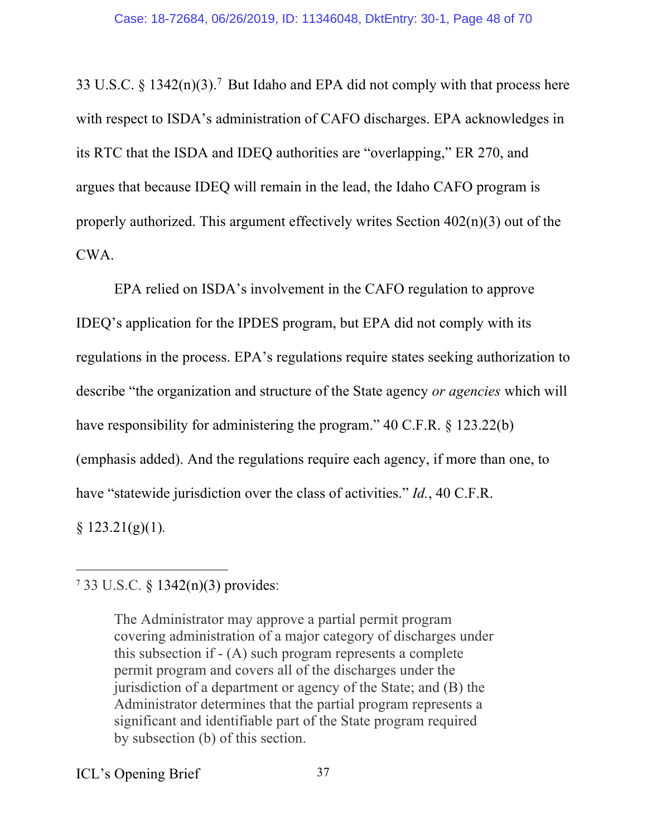33 U.S.C. § 1342(n)(3).<sup>7</sup> But Idaho and EPA did not comply with that process here with respect to ISDA's administration of CAFO discharges. EPA acknowledges in its RTC that the ISDA and IDEQ authorities are "overlapping," ER 270, and argues that because IDEQ will remain in the lead, the Idaho CAFO program is properly authorized. This argument effectively writes Section 402(n)(3) out of the CWA.

EPA relied on ISDA's involvement in the CAFO regulation to approve IDEQ's application for the IPDES program, but EPA did not comply with its regulations in the process. EPA's regulations require states seeking authorization to describe "the organization and structure of the State agency *or agencies* which will have responsibility for administering the program." 40 C.F.R. § 123.22(b) (emphasis added). And the regulations require each agency, if more than one, to have "statewide jurisdiction over the class of activities." *Id.*, 40 C.F.R.

§ 123.21(g)(1)*.*

7 33 U.S.C. § 1342(n)(3) provides:

The Administrator may approve a partial permit program covering administration of a major category of discharges under this subsection if - (A) such program represents a complete permit program and covers all of the discharges under the jurisdiction of a department or agency of the State; and (B) the Administrator determines that the partial program represents a significant and identifiable part of the State program required by subsection (b) of this section.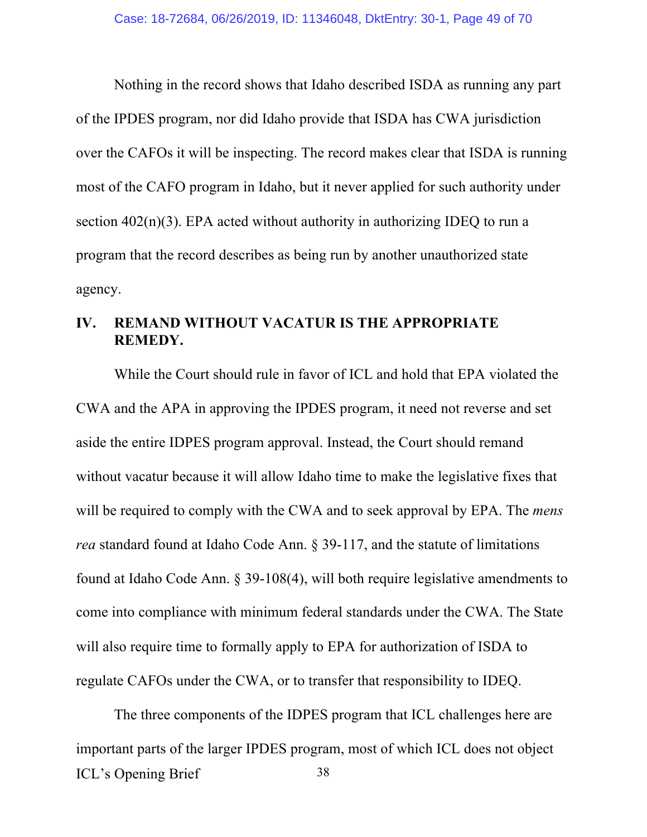Nothing in the record shows that Idaho described ISDA as running any part of the IPDES program, nor did Idaho provide that ISDA has CWA jurisdiction over the CAFOs it will be inspecting. The record makes clear that ISDA is running most of the CAFO program in Idaho, but it never applied for such authority under section  $402(n)(3)$ . EPA acted without authority in authorizing IDEQ to run a program that the record describes as being run by another unauthorized state agency.

#### **IV. REMAND WITHOUT VACATUR IS THE APPROPRIATE REMEDY.**

While the Court should rule in favor of ICL and hold that EPA violated the CWA and the APA in approving the IPDES program, it need not reverse and set aside the entire IDPES program approval. Instead, the Court should remand without vacatur because it will allow Idaho time to make the legislative fixes that will be required to comply with the CWA and to seek approval by EPA. The *mens rea* standard found at Idaho Code Ann. § 39-117, and the statute of limitations found at Idaho Code Ann. § 39-108(4), will both require legislative amendments to come into compliance with minimum federal standards under the CWA. The State will also require time to formally apply to EPA for authorization of ISDA to regulate CAFOs under the CWA, or to transfer that responsibility to IDEQ.

ICL's Opening Brief 38 The three components of the IDPES program that ICL challenges here are important parts of the larger IPDES program, most of which ICL does not object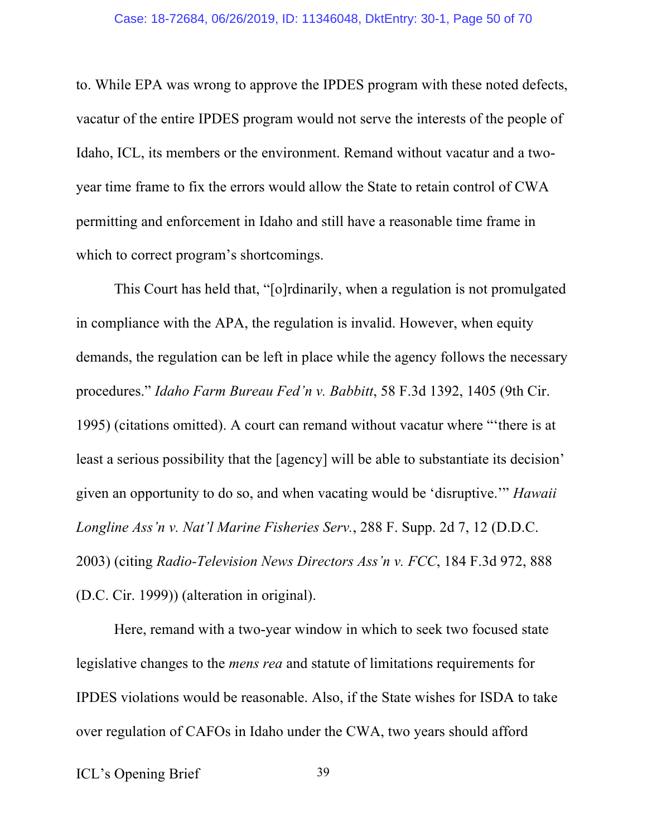#### Case: 18-72684, 06/26/2019, ID: 11346048, DktEntry: 30-1, Page 50 of 70

to. While EPA was wrong to approve the IPDES program with these noted defects, vacatur of the entire IPDES program would not serve the interests of the people of Idaho, ICL, its members or the environment. Remand without vacatur and a twoyear time frame to fix the errors would allow the State to retain control of CWA permitting and enforcement in Idaho and still have a reasonable time frame in which to correct program's shortcomings.

This Court has held that, "[o]rdinarily, when a regulation is not promulgated in compliance with the APA, the regulation is invalid. However, when equity demands, the regulation can be left in place while the agency follows the necessary procedures." *Idaho Farm Bureau Fed'n v. Babbitt*, 58 F.3d 1392, 1405 (9th Cir. 1995) (citations omitted). A court can remand without vacatur where "'there is at least a serious possibility that the [agency] will be able to substantiate its decision' given an opportunity to do so, and when vacating would be 'disruptive.'" *Hawaii Longline Ass'n v. Nat'l Marine Fisheries Serv.*, 288 F. Supp. 2d 7, 12 (D.D.C. 2003) (citing *Radio-Television News Directors Ass'n v. FCC*, 184 F.3d 972, 888 (D.C. Cir. 1999)) (alteration in original).

Here, remand with a two-year window in which to seek two focused state legislative changes to the *mens rea* and statute of limitations requirements for IPDES violations would be reasonable. Also, if the State wishes for ISDA to take over regulation of CAFOs in Idaho under the CWA, two years should afford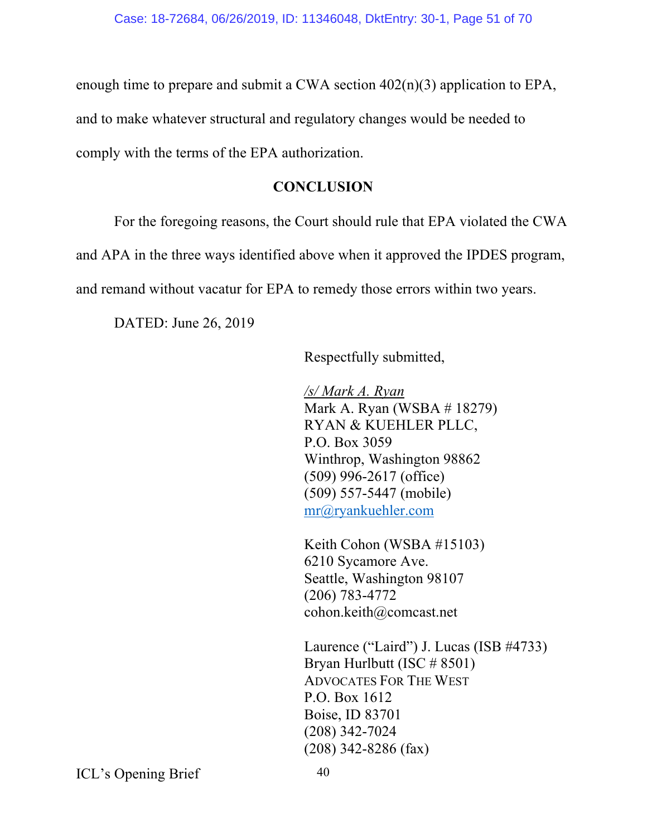enough time to prepare and submit a CWA section  $402(n)(3)$  application to EPA, and to make whatever structural and regulatory changes would be needed to comply with the terms of the EPA authorization.

#### **CONCLUSION**

For the foregoing reasons, the Court should rule that EPA violated the CWA

and APA in the three ways identified above when it approved the IPDES program,

and remand without vacatur for EPA to remedy those errors within two years.

DATED: June 26, 2019

Respectfully submitted,

*/s/ Mark A. Ryan* Mark A. Ryan (WSBA # 18279) RYAN & KUEHLER PLLC, P.O. Box 3059 Winthrop, Washington 98862 (509) 996-2617 (office) (509) 557-5447 (mobile) mr@ryankuehler.com

Keith Cohon (WSBA #15103) 6210 Sycamore Ave. Seattle, Washington 98107 (206) 783-4772 cohon.keith@comcast.net

Laurence ("Laird") J. Lucas (ISB #4733) Bryan Hurlbutt (ISC # 8501) ADVOCATES FOR THE WEST P.O. Box 1612 Boise, ID 83701 (208) 342-7024 (208) 342-8286 (fax)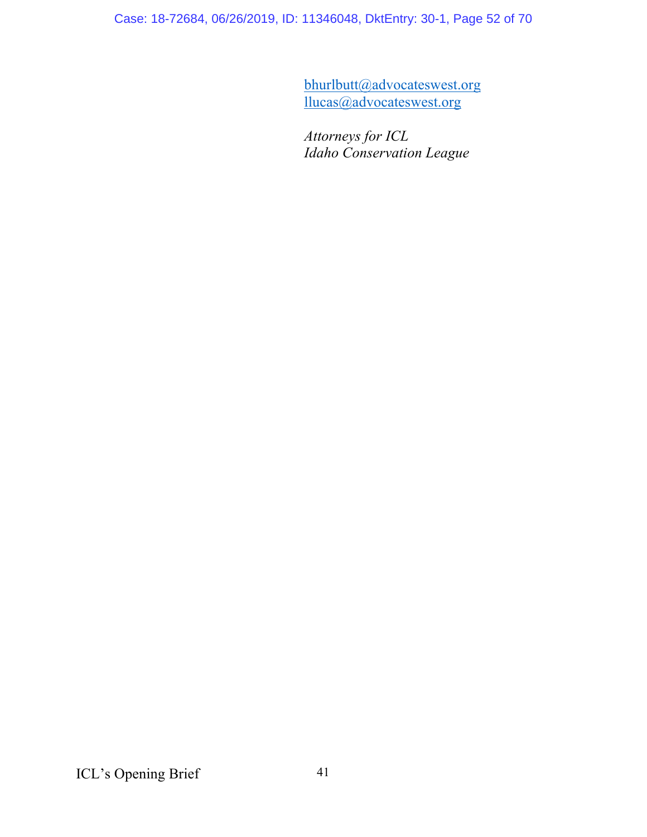bhurlbutt@advocateswest.org llucas@advocateswest.org

*Attorneys for ICL Idaho Conservation League*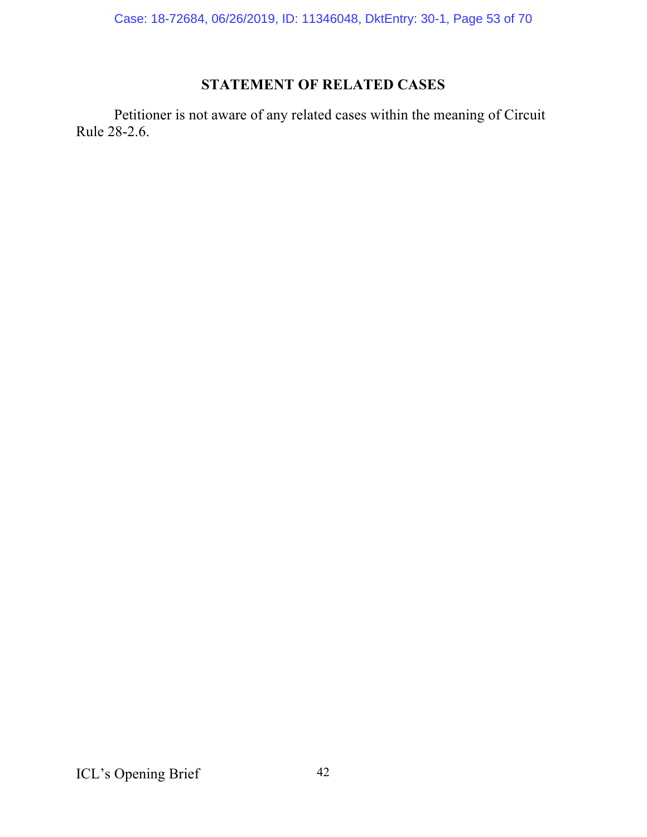Case: 18-72684, 06/26/2019, ID: 11346048, DktEntry: 30-1, Page 53 of 70

# **STATEMENT OF RELATED CASES**

Petitioner is not aware of any related cases within the meaning of Circuit Rule 28-2.6.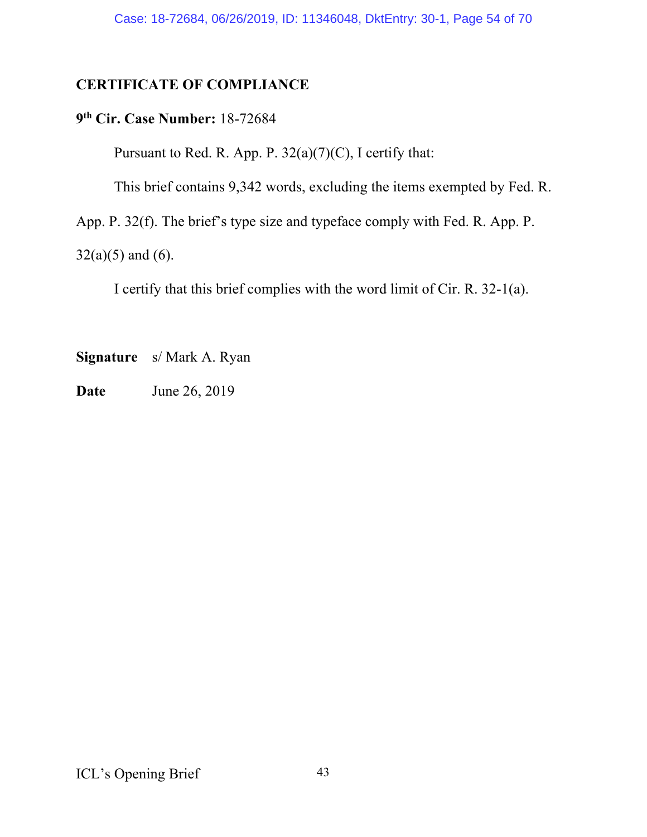#### **CERTIFICATE OF COMPLIANCE**

### **9th Cir. Case Number:** 18-72684

Pursuant to Red. R. App. P. 32(a)(7)(C), I certify that:

This brief contains 9,342 words, excluding the items exempted by Fed. R.

App. P. 32(f). The brief's type size and typeface comply with Fed. R. App. P.

 $32(a)(5)$  and (6).

I certify that this brief complies with the word limit of Cir. R. 32-1(a).

**Signature** s/ Mark A. Ryan

**Date** June 26, 2019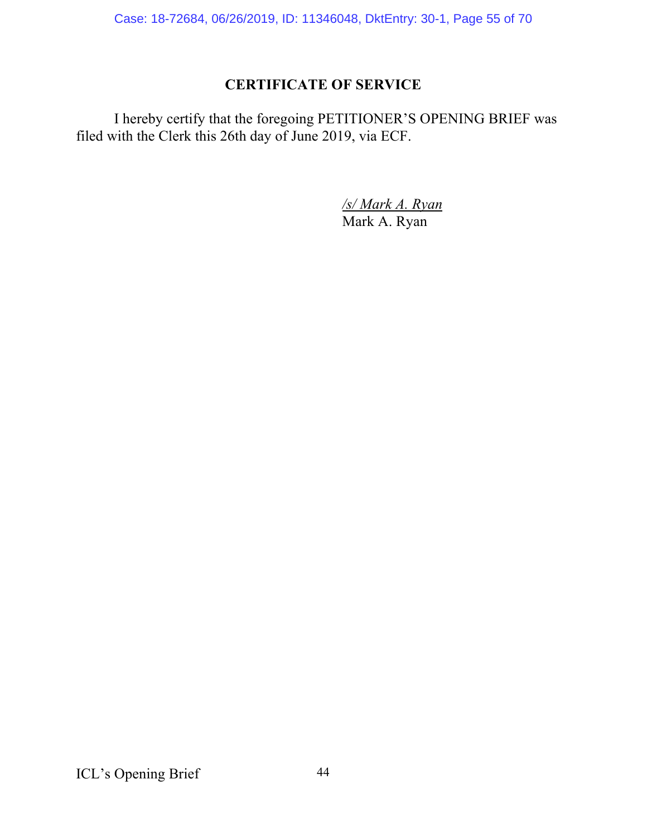Case: 18-72684, 06/26/2019, ID: 11346048, DktEntry: 30-1, Page 55 of 70

# **CERTIFICATE OF SERVICE**

I hereby certify that the foregoing PETITIONER'S OPENING BRIEF was filed with the Clerk this 26th day of June 2019, via ECF.

> */s/ Mark A. Ryan* Mark A. Ryan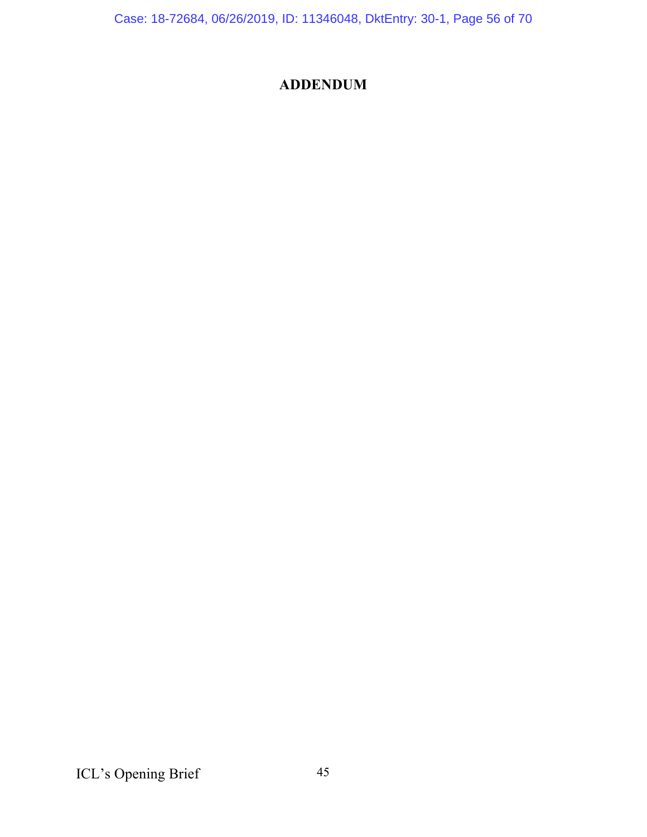Case: 18-72684, 06/26/2019, ID: 11346048, DktEntry: 30-1, Page 56 of 70

# **ADDENDUM**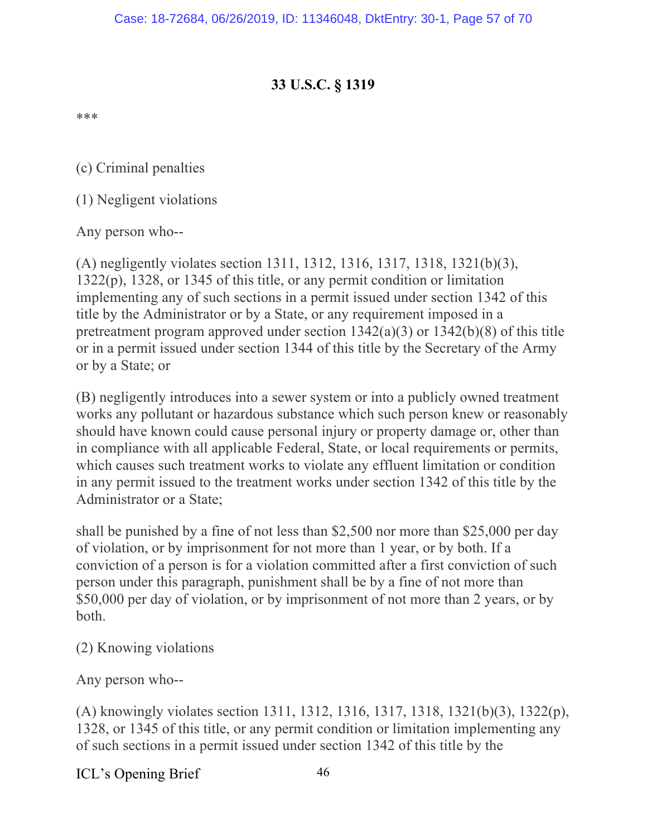### **33 U.S.C. § 1319**

\*\*\*

(c) Criminal penalties

(1) Negligent violations

Any person who--

(A) negligently violates section 1311, 1312, 1316, 1317, 1318, 1321(b)(3), 1322(p), 1328, or 1345 of this title, or any permit condition or limitation implementing any of such sections in a permit issued under section 1342 of this title by the Administrator or by a State, or any requirement imposed in a pretreatment program approved under section 1342(a)(3) or 1342(b)(8) of this title or in a permit issued under section 1344 of this title by the Secretary of the Army or by a State; or

(B) negligently introduces into a sewer system or into a publicly owned treatment works any pollutant or hazardous substance which such person knew or reasonably should have known could cause personal injury or property damage or, other than in compliance with all applicable Federal, State, or local requirements or permits, which causes such treatment works to violate any effluent limitation or condition in any permit issued to the treatment works under section 1342 of this title by the Administrator or a State;

shall be punished by a fine of not less than \$2,500 nor more than \$25,000 per day of violation, or by imprisonment for not more than 1 year, or by both. If a conviction of a person is for a violation committed after a first conviction of such person under this paragraph, punishment shall be by a fine of not more than \$50,000 per day of violation, or by imprisonment of not more than 2 years, or by both.

(2) Knowing violations

Any person who--

(A) knowingly violates section 1311, 1312, 1316, 1317, 1318, 1321(b)(3), 1322(p), 1328, or 1345 of this title, or any permit condition or limitation implementing any of such sections in a permit issued under section 1342 of this title by the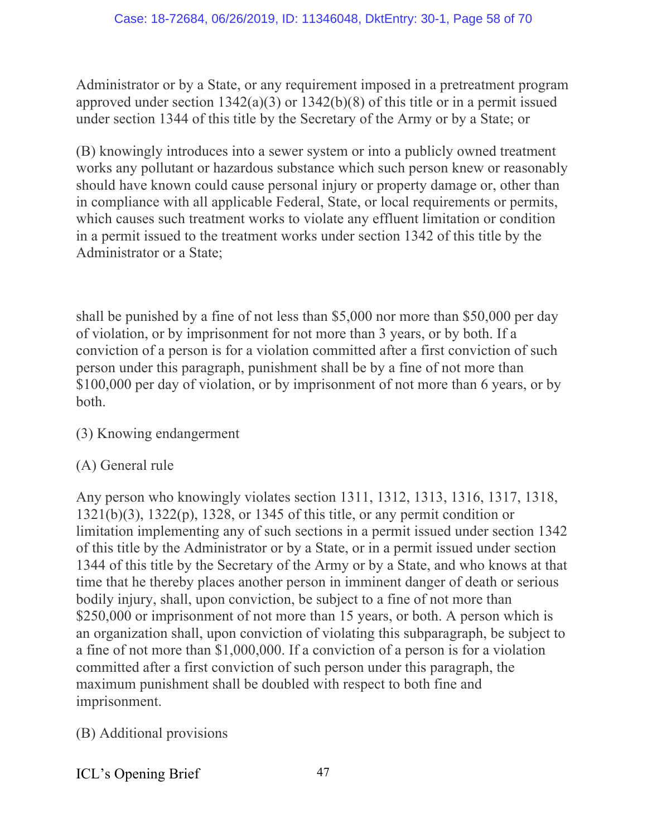Administrator or by a State, or any requirement imposed in a pretreatment program approved under section 1342(a)(3) or 1342(b)(8) of this title or in a permit issued under section 1344 of this title by the Secretary of the Army or by a State; or

(B) knowingly introduces into a sewer system or into a publicly owned treatment works any pollutant or hazardous substance which such person knew or reasonably should have known could cause personal injury or property damage or, other than in compliance with all applicable Federal, State, or local requirements or permits, which causes such treatment works to violate any effluent limitation or condition in a permit issued to the treatment works under section 1342 of this title by the Administrator or a State;

shall be punished by a fine of not less than \$5,000 nor more than \$50,000 per day of violation, or by imprisonment for not more than 3 years, or by both. If a conviction of a person is for a violation committed after a first conviction of such person under this paragraph, punishment shall be by a fine of not more than \$100,000 per day of violation, or by imprisonment of not more than 6 years, or by both.

#### (3) Knowing endangerment

#### (A) General rule

Any person who knowingly violates section 1311, 1312, 1313, 1316, 1317, 1318, 1321(b)(3), 1322(p), 1328, or 1345 of this title, or any permit condition or limitation implementing any of such sections in a permit issued under section 1342 of this title by the Administrator or by a State, or in a permit issued under section 1344 of this title by the Secretary of the Army or by a State, and who knows at that time that he thereby places another person in imminent danger of death or serious bodily injury, shall, upon conviction, be subject to a fine of not more than \$250,000 or imprisonment of not more than 15 years, or both. A person which is an organization shall, upon conviction of violating this subparagraph, be subject to a fine of not more than \$1,000,000. If a conviction of a person is for a violation committed after a first conviction of such person under this paragraph, the maximum punishment shall be doubled with respect to both fine and imprisonment.

(B) Additional provisions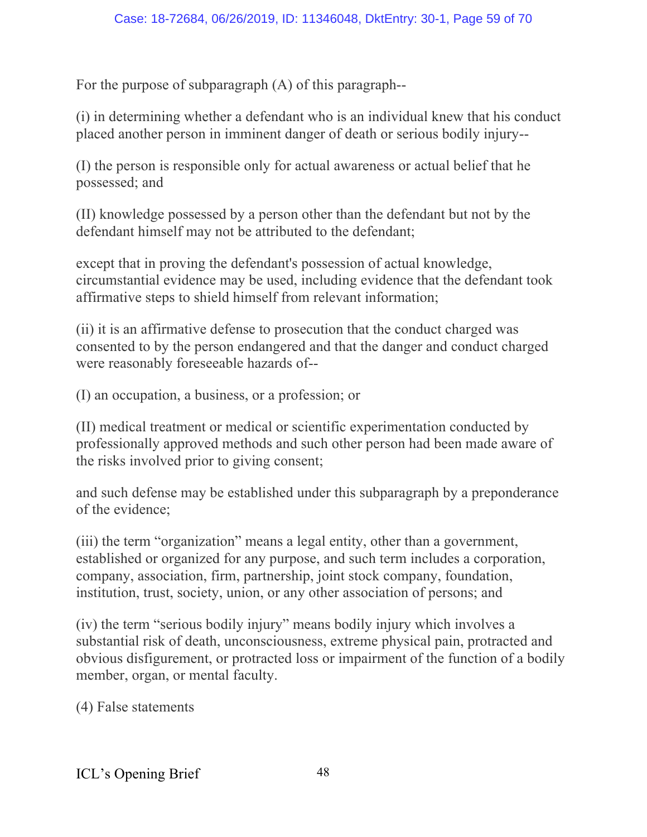For the purpose of subparagraph (A) of this paragraph--

(i) in determining whether a defendant who is an individual knew that his conduct placed another person in imminent danger of death or serious bodily injury--

(I) the person is responsible only for actual awareness or actual belief that he possessed; and

(II) knowledge possessed by a person other than the defendant but not by the defendant himself may not be attributed to the defendant;

except that in proving the defendant's possession of actual knowledge, circumstantial evidence may be used, including evidence that the defendant took affirmative steps to shield himself from relevant information;

(ii) it is an affirmative defense to prosecution that the conduct charged was consented to by the person endangered and that the danger and conduct charged were reasonably foreseeable hazards of--

(I) an occupation, a business, or a profession; or

(II) medical treatment or medical or scientific experimentation conducted by professionally approved methods and such other person had been made aware of the risks involved prior to giving consent;

and such defense may be established under this subparagraph by a preponderance of the evidence;

(iii) the term "organization" means a legal entity, other than a government, established or organized for any purpose, and such term includes a corporation, company, association, firm, partnership, joint stock company, foundation, institution, trust, society, union, or any other association of persons; and

(iv) the term "serious bodily injury" means bodily injury which involves a substantial risk of death, unconsciousness, extreme physical pain, protracted and obvious disfigurement, or protracted loss or impairment of the function of a bodily member, organ, or mental faculty.

(4) False statements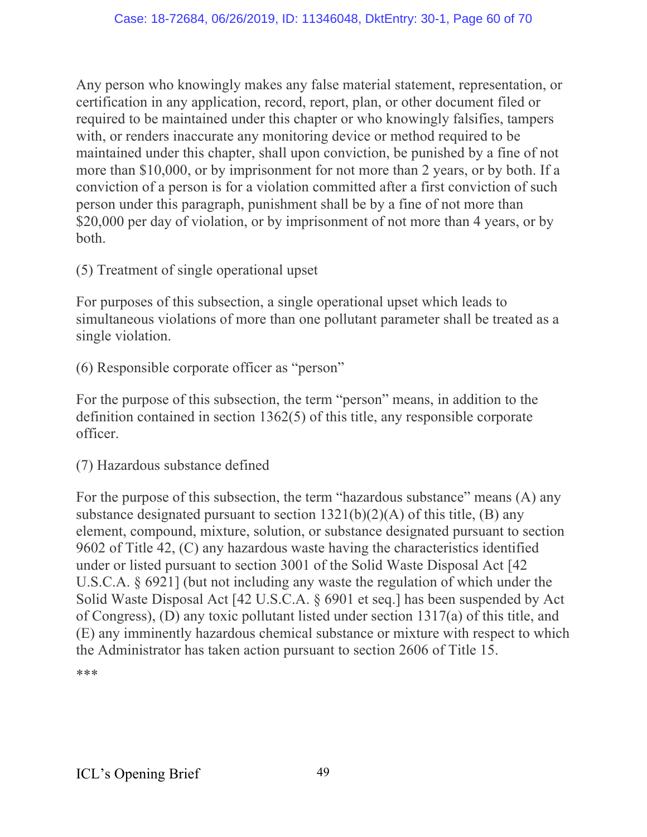Any person who knowingly makes any false material statement, representation, or certification in any application, record, report, plan, or other document filed or required to be maintained under this chapter or who knowingly falsifies, tampers with, or renders inaccurate any monitoring device or method required to be maintained under this chapter, shall upon conviction, be punished by a fine of not more than \$10,000, or by imprisonment for not more than 2 years, or by both. If a conviction of a person is for a violation committed after a first conviction of such person under this paragraph, punishment shall be by a fine of not more than \$20,000 per day of violation, or by imprisonment of not more than 4 years, or by both.

(5) Treatment of single operational upset

For purposes of this subsection, a single operational upset which leads to simultaneous violations of more than one pollutant parameter shall be treated as a single violation.

(6) Responsible corporate officer as "person"

For the purpose of this subsection, the term "person" means, in addition to the definition contained in section 1362(5) of this title, any responsible corporate officer.

(7) Hazardous substance defined

For the purpose of this subsection, the term "hazardous substance" means (A) any substance designated pursuant to section  $1321(b)(2)(A)$  of this title, (B) any element, compound, mixture, solution, or substance designated pursuant to section 9602 of Title 42, (C) any hazardous waste having the characteristics identified under or listed pursuant to section 3001 of the Solid Waste Disposal Act [42 U.S.C.A. § 6921] (but not including any waste the regulation of which under the Solid Waste Disposal Act [42 U.S.C.A. § 6901 et seq.] has been suspended by Act of Congress), (D) any toxic pollutant listed under section 1317(a) of this title, and (E) any imminently hazardous chemical substance or mixture with respect to which the Administrator has taken action pursuant to section 2606 of Title 15. \*\*\*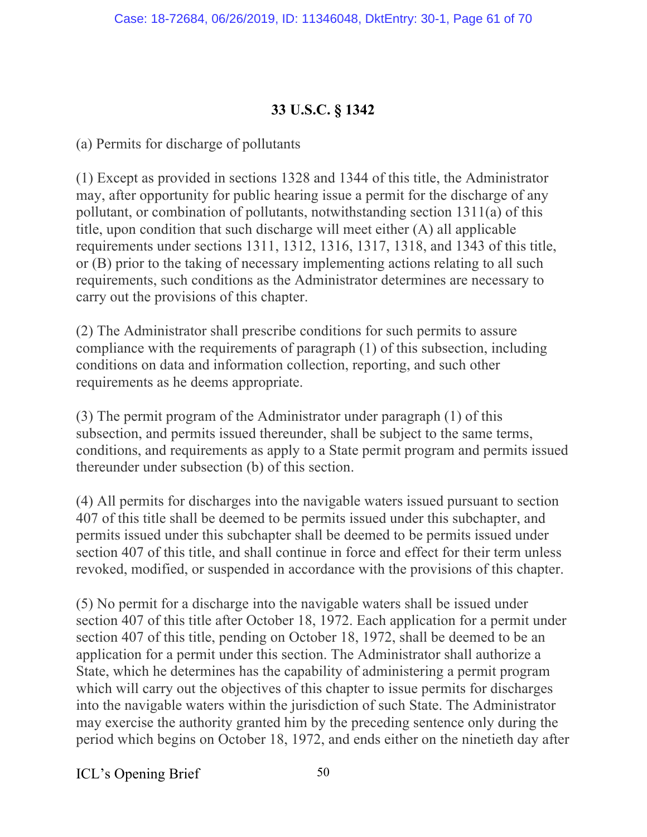### **33 U.S.C. § 1342**

(a) Permits for discharge of pollutants

(1) Except as provided in sections 1328 and 1344 of this title, the Administrator may, after opportunity for public hearing issue a permit for the discharge of any pollutant, or combination of pollutants, notwithstanding section 1311(a) of this title, upon condition that such discharge will meet either (A) all applicable requirements under sections 1311, 1312, 1316, 1317, 1318, and 1343 of this title, or (B) prior to the taking of necessary implementing actions relating to all such requirements, such conditions as the Administrator determines are necessary to carry out the provisions of this chapter.

(2) The Administrator shall prescribe conditions for such permits to assure compliance with the requirements of paragraph (1) of this subsection, including conditions on data and information collection, reporting, and such other requirements as he deems appropriate.

(3) The permit program of the Administrator under paragraph (1) of this subsection, and permits issued thereunder, shall be subject to the same terms, conditions, and requirements as apply to a State permit program and permits issued thereunder under subsection (b) of this section.

(4) All permits for discharges into the navigable waters issued pursuant to section 407 of this title shall be deemed to be permits issued under this subchapter, and permits issued under this subchapter shall be deemed to be permits issued under section 407 of this title, and shall continue in force and effect for their term unless revoked, modified, or suspended in accordance with the provisions of this chapter.

(5) No permit for a discharge into the navigable waters shall be issued under section 407 of this title after October 18, 1972. Each application for a permit under section 407 of this title, pending on October 18, 1972, shall be deemed to be an application for a permit under this section. The Administrator shall authorize a State, which he determines has the capability of administering a permit program which will carry out the objectives of this chapter to issue permits for discharges into the navigable waters within the jurisdiction of such State. The Administrator may exercise the authority granted him by the preceding sentence only during the period which begins on October 18, 1972, and ends either on the ninetieth day after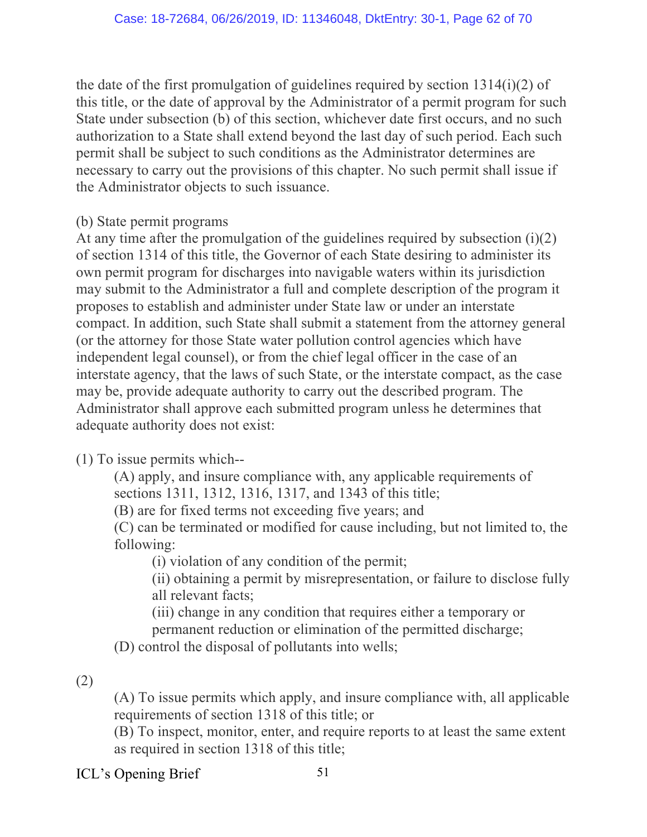the date of the first promulgation of guidelines required by section 1314(i)(2) of this title, or the date of approval by the Administrator of a permit program for such State under subsection (b) of this section, whichever date first occurs, and no such authorization to a State shall extend beyond the last day of such period. Each such permit shall be subject to such conditions as the Administrator determines are necessary to carry out the provisions of this chapter. No such permit shall issue if the Administrator objects to such issuance.

#### (b) State permit programs

At any time after the promulgation of the guidelines required by subsection (i)(2) of section 1314 of this title, the Governor of each State desiring to administer its own permit program for discharges into navigable waters within its jurisdiction may submit to the Administrator a full and complete description of the program it proposes to establish and administer under State law or under an interstate compact. In addition, such State shall submit a statement from the attorney general (or the attorney for those State water pollution control agencies which have independent legal counsel), or from the chief legal officer in the case of an interstate agency, that the laws of such State, or the interstate compact, as the case may be, provide adequate authority to carry out the described program. The Administrator shall approve each submitted program unless he determines that adequate authority does not exist:

#### (1) To issue permits which--

(A) apply, and insure compliance with, any applicable requirements of sections 1311, 1312, 1316, 1317, and 1343 of this title;

(B) are for fixed terms not exceeding five years; and

(C) can be terminated or modified for cause including, but not limited to, the following:

(i) violation of any condition of the permit;

(ii) obtaining a permit by misrepresentation, or failure to disclose fully all relevant facts;

(iii) change in any condition that requires either a temporary or permanent reduction or elimination of the permitted discharge;

(D) control the disposal of pollutants into wells;

(2)

(A) To issue permits which apply, and insure compliance with, all applicable requirements of section 1318 of this title; or

(B) To inspect, monitor, enter, and require reports to at least the same extent as required in section 1318 of this title;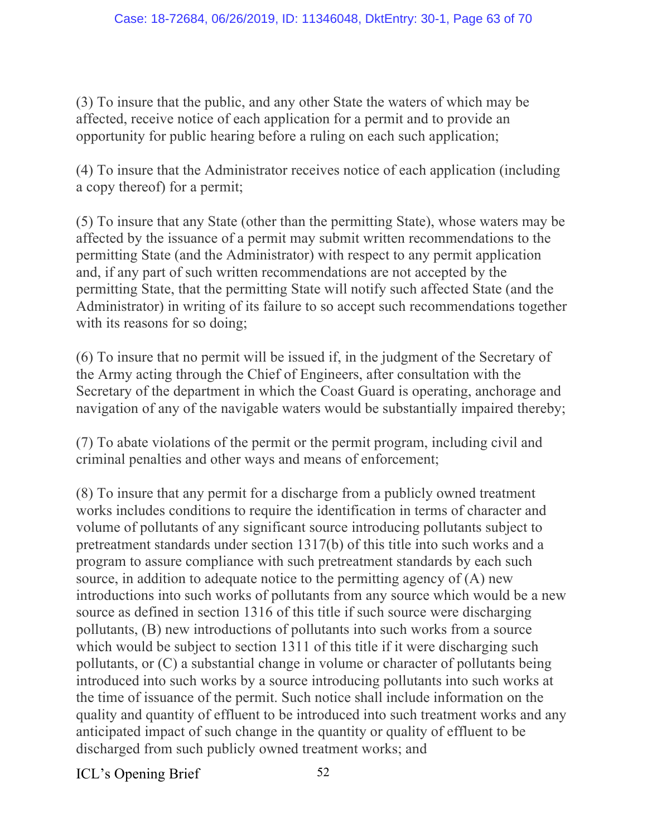(3) To insure that the public, and any other State the waters of which may be affected, receive notice of each application for a permit and to provide an opportunity for public hearing before a ruling on each such application;

(4) To insure that the Administrator receives notice of each application (including a copy thereof) for a permit;

(5) To insure that any State (other than the permitting State), whose waters may be affected by the issuance of a permit may submit written recommendations to the permitting State (and the Administrator) with respect to any permit application and, if any part of such written recommendations are not accepted by the permitting State, that the permitting State will notify such affected State (and the Administrator) in writing of its failure to so accept such recommendations together with its reasons for so doing;

(6) To insure that no permit will be issued if, in the judgment of the Secretary of the Army acting through the Chief of Engineers, after consultation with the Secretary of the department in which the Coast Guard is operating, anchorage and navigation of any of the navigable waters would be substantially impaired thereby;

(7) To abate violations of the permit or the permit program, including civil and criminal penalties and other ways and means of enforcement;

(8) To insure that any permit for a discharge from a publicly owned treatment works includes conditions to require the identification in terms of character and volume of pollutants of any significant source introducing pollutants subject to pretreatment standards under section 1317(b) of this title into such works and a program to assure compliance with such pretreatment standards by each such source, in addition to adequate notice to the permitting agency of (A) new introductions into such works of pollutants from any source which would be a new source as defined in section 1316 of this title if such source were discharging pollutants, (B) new introductions of pollutants into such works from a source which would be subject to section 1311 of this title if it were discharging such pollutants, or (C) a substantial change in volume or character of pollutants being introduced into such works by a source introducing pollutants into such works at the time of issuance of the permit. Such notice shall include information on the quality and quantity of effluent to be introduced into such treatment works and any anticipated impact of such change in the quantity or quality of effluent to be discharged from such publicly owned treatment works; and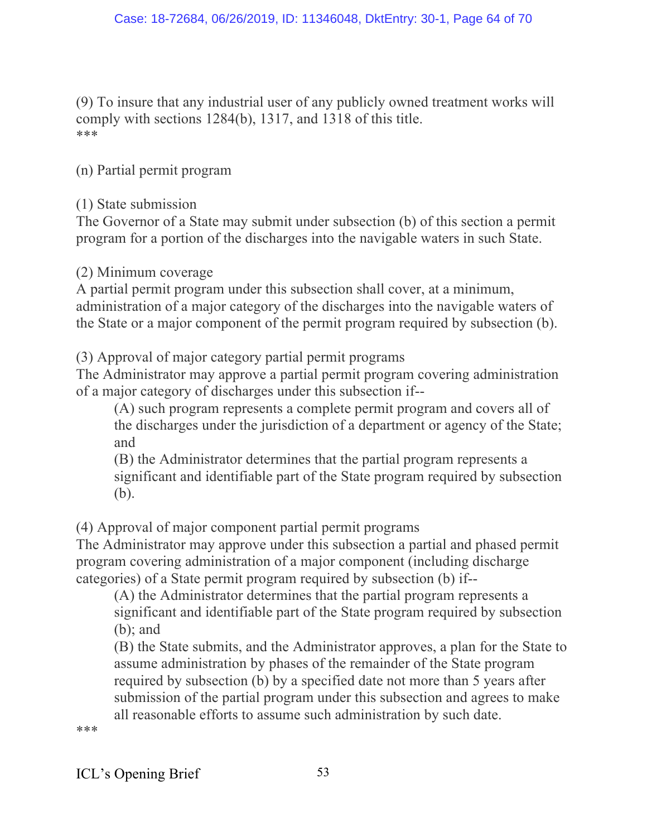(9) To insure that any industrial user of any publicly owned treatment works will comply with sections 1284(b), 1317, and 1318 of this title. \*\*\*

(n) Partial permit program

#### (1) State submission

The Governor of a State may submit under subsection (b) of this section a permit program for a portion of the discharges into the navigable waters in such State.

#### (2) Minimum coverage

A partial permit program under this subsection shall cover, at a minimum, administration of a major category of the discharges into the navigable waters of the State or a major component of the permit program required by subsection (b).

(3) Approval of major category partial permit programs

The Administrator may approve a partial permit program covering administration of a major category of discharges under this subsection if--

(A) such program represents a complete permit program and covers all of the discharges under the jurisdiction of a department or agency of the State; and

(B) the Administrator determines that the partial program represents a significant and identifiable part of the State program required by subsection (b).

(4) Approval of major component partial permit programs

The Administrator may approve under this subsection a partial and phased permit program covering administration of a major component (including discharge categories) of a State permit program required by subsection (b) if--

(A) the Administrator determines that the partial program represents a significant and identifiable part of the State program required by subsection (b); and

(B) the State submits, and the Administrator approves, a plan for the State to assume administration by phases of the remainder of the State program required by subsection (b) by a specified date not more than 5 years after submission of the partial program under this subsection and agrees to make all reasonable efforts to assume such administration by such date.

\*\*\*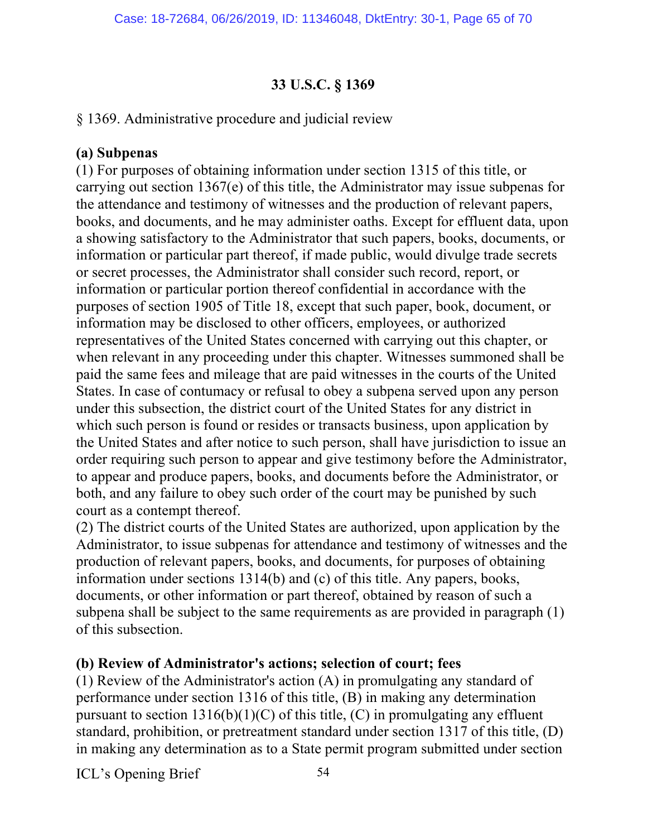### **33 U.S.C. § 1369**

#### § 1369. Administrative procedure and judicial review

#### **(a) Subpenas**

(1) For purposes of obtaining information under section 1315 of this title, or carrying out section 1367(e) of this title, the Administrator may issue subpenas for the attendance and testimony of witnesses and the production of relevant papers, books, and documents, and he may administer oaths. Except for effluent data, upon a showing satisfactory to the Administrator that such papers, books, documents, or information or particular part thereof, if made public, would divulge trade secrets or secret processes, the Administrator shall consider such record, report, or information or particular portion thereof confidential in accordance with the purposes of section 1905 of Title 18, except that such paper, book, document, or information may be disclosed to other officers, employees, or authorized representatives of the United States concerned with carrying out this chapter, or when relevant in any proceeding under this chapter. Witnesses summoned shall be paid the same fees and mileage that are paid witnesses in the courts of the United States. In case of contumacy or refusal to obey a subpena served upon any person under this subsection, the district court of the United States for any district in which such person is found or resides or transacts business, upon application by the United States and after notice to such person, shall have jurisdiction to issue an order requiring such person to appear and give testimony before the Administrator, to appear and produce papers, books, and documents before the Administrator, or both, and any failure to obey such order of the court may be punished by such court as a contempt thereof.

(2) The district courts of the United States are authorized, upon application by the Administrator, to issue subpenas for attendance and testimony of witnesses and the production of relevant papers, books, and documents, for purposes of obtaining information under sections 1314(b) and (c) of this title. Any papers, books, documents, or other information or part thereof, obtained by reason of such a subpena shall be subject to the same requirements as are provided in paragraph (1) of this subsection.

#### **(b) Review of Administrator's actions; selection of court; fees**

(1) Review of the Administrator's action (A) in promulgating any standard of performance under section 1316 of this title, (B) in making any determination pursuant to section  $1316(b)(1)(C)$  of this title, (C) in promulgating any effluent standard, prohibition, or pretreatment standard under section 1317 of this title, (D) in making any determination as to a State permit program submitted under section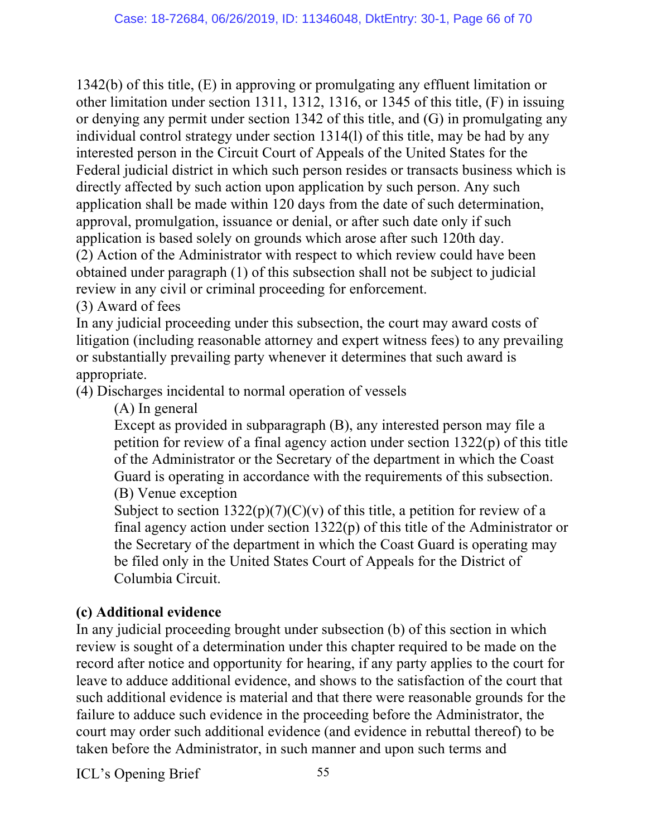1342(b) of this title, (E) in approving or promulgating any effluent limitation or other limitation under section 1311, 1312, 1316, or 1345 of this title, (F) in issuing or denying any permit under section 1342 of this title, and (G) in promulgating any individual control strategy under section 1314(l) of this title, may be had by any interested person in the Circuit Court of Appeals of the United States for the Federal judicial district in which such person resides or transacts business which is directly affected by such action upon application by such person. Any such application shall be made within 120 days from the date of such determination, approval, promulgation, issuance or denial, or after such date only if such application is based solely on grounds which arose after such 120th day. (2) Action of the Administrator with respect to which review could have been

obtained under paragraph (1) of this subsection shall not be subject to judicial review in any civil or criminal proceeding for enforcement.

(3) Award of fees

In any judicial proceeding under this subsection, the court may award costs of litigation (including reasonable attorney and expert witness fees) to any prevailing or substantially prevailing party whenever it determines that such award is appropriate.

(4) Discharges incidental to normal operation of vessels

(A) In general

Except as provided in subparagraph (B), any interested person may file a petition for review of a final agency action under section 1322(p) of this title of the Administrator or the Secretary of the department in which the Coast Guard is operating in accordance with the requirements of this subsection. (B) Venue exception

Subject to section  $1322(p)(7)(C)(v)$  of this title, a petition for review of a final agency action under section 1322(p) of this title of the Administrator or the Secretary of the department in which the Coast Guard is operating may be filed only in the United States Court of Appeals for the District of Columbia Circuit.

#### **(c) Additional evidence**

In any judicial proceeding brought under subsection (b) of this section in which review is sought of a determination under this chapter required to be made on the record after notice and opportunity for hearing, if any party applies to the court for leave to adduce additional evidence, and shows to the satisfaction of the court that such additional evidence is material and that there were reasonable grounds for the failure to adduce such evidence in the proceeding before the Administrator, the court may order such additional evidence (and evidence in rebuttal thereof) to be taken before the Administrator, in such manner and upon such terms and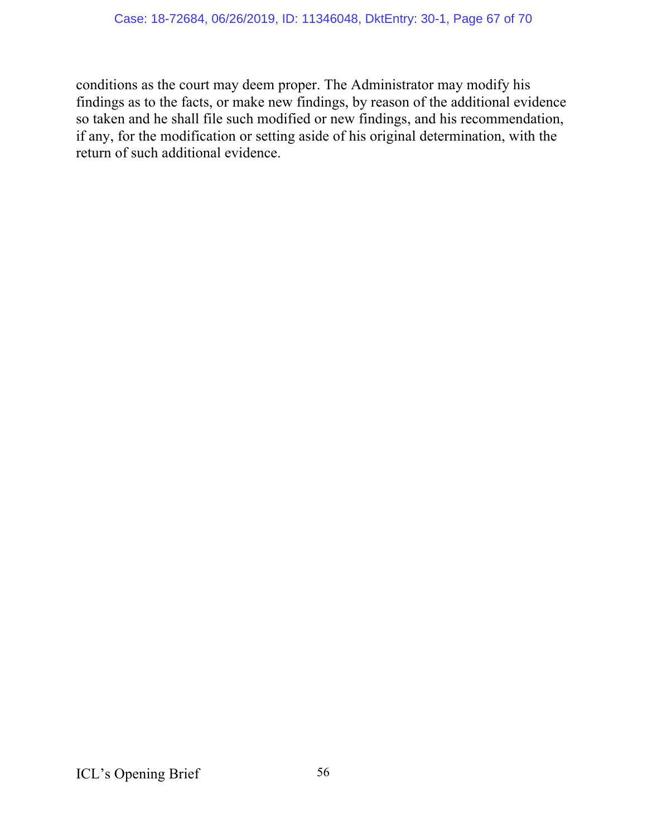conditions as the court may deem proper. The Administrator may modify his findings as to the facts, or make new findings, by reason of the additional evidence so taken and he shall file such modified or new findings, and his recommendation, if any, for the modification or setting aside of his original determination, with the return of such additional evidence.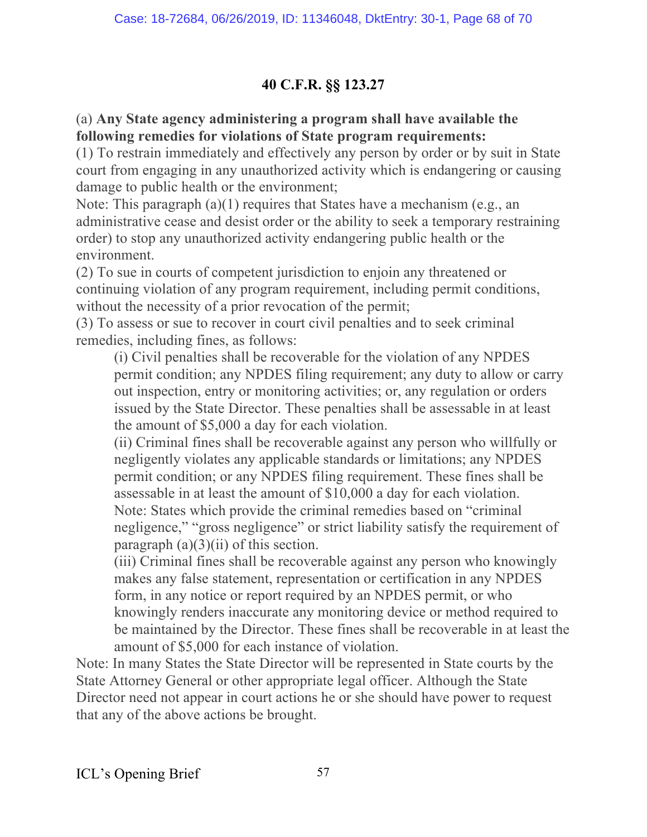# **40 C.F.R. §§ 123.27**

### (a) **Any State agency administering a program shall have available the following remedies for violations of State program requirements:**

(1) To restrain immediately and effectively any person by order or by suit in State court from engaging in any unauthorized activity which is endangering or causing damage to public health or the environment;

Note: This paragraph (a)(1) requires that States have a mechanism (e.g., an administrative cease and desist order or the ability to seek a temporary restraining order) to stop any unauthorized activity endangering public health or the environment.

(2) To sue in courts of competent jurisdiction to enjoin any threatened or continuing violation of any program requirement, including permit conditions, without the necessity of a prior revocation of the permit;

(3) To assess or sue to recover in court civil penalties and to seek criminal remedies, including fines, as follows:

(i) Civil penalties shall be recoverable for the violation of any NPDES permit condition; any NPDES filing requirement; any duty to allow or carry out inspection, entry or monitoring activities; or, any regulation or orders issued by the State Director. These penalties shall be assessable in at least the amount of \$5,000 a day for each violation.

(ii) Criminal fines shall be recoverable against any person who willfully or negligently violates any applicable standards or limitations; any NPDES permit condition; or any NPDES filing requirement. These fines shall be assessable in at least the amount of \$10,000 a day for each violation. Note: States which provide the criminal remedies based on "criminal negligence," "gross negligence" or strict liability satisfy the requirement of paragraph  $(a)(3)(ii)$  of this section.

(iii) Criminal fines shall be recoverable against any person who knowingly makes any false statement, representation or certification in any NPDES form, in any notice or report required by an NPDES permit, or who knowingly renders inaccurate any monitoring device or method required to be maintained by the Director. These fines shall be recoverable in at least the amount of \$5,000 for each instance of violation.

Note: In many States the State Director will be represented in State courts by the State Attorney General or other appropriate legal officer. Although the State Director need not appear in court actions he or she should have power to request that any of the above actions be brought.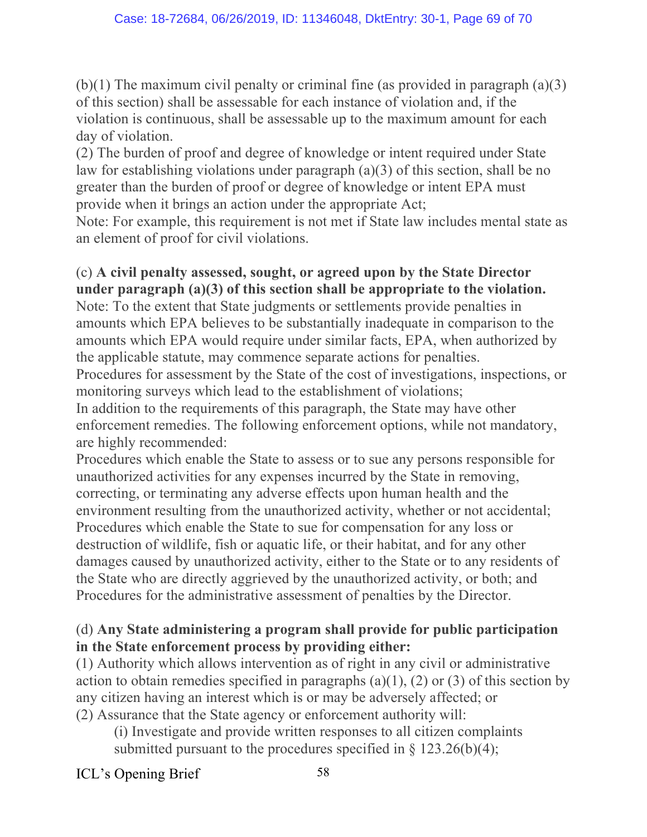$(b)(1)$  The maximum civil penalty or criminal fine (as provided in paragraph  $(a)(3)$ ) of this section) shall be assessable for each instance of violation and, if the violation is continuous, shall be assessable up to the maximum amount for each day of violation.

(2) The burden of proof and degree of knowledge or intent required under State law for establishing violations under paragraph (a)(3) of this section, shall be no greater than the burden of proof or degree of knowledge or intent EPA must provide when it brings an action under the appropriate Act;

Note: For example, this requirement is not met if State law includes mental state as an element of proof for civil violations.

### (c) **A civil penalty assessed, sought, or agreed upon by the State Director under paragraph (a)(3) of this section shall be appropriate to the violation.**

Note: To the extent that State judgments or settlements provide penalties in amounts which EPA believes to be substantially inadequate in comparison to the amounts which EPA would require under similar facts, EPA, when authorized by the applicable statute, may commence separate actions for penalties.

Procedures for assessment by the State of the cost of investigations, inspections, or monitoring surveys which lead to the establishment of violations;

In addition to the requirements of this paragraph, the State may have other enforcement remedies. The following enforcement options, while not mandatory, are highly recommended:

Procedures which enable the State to assess or to sue any persons responsible for unauthorized activities for any expenses incurred by the State in removing, correcting, or terminating any adverse effects upon human health and the environment resulting from the unauthorized activity, whether or not accidental; Procedures which enable the State to sue for compensation for any loss or destruction of wildlife, fish or aquatic life, or their habitat, and for any other damages caused by unauthorized activity, either to the State or to any residents of the State who are directly aggrieved by the unauthorized activity, or both; and Procedures for the administrative assessment of penalties by the Director.

### (d) **Any State administering a program shall provide for public participation in the State enforcement process by providing either:**

(1) Authority which allows intervention as of right in any civil or administrative action to obtain remedies specified in paragraphs (a)(1), (2) or (3) of this section by any citizen having an interest which is or may be adversely affected; or (2) Assurance that the State agency or enforcement authority will:

(i) Investigate and provide written responses to all citizen complaints submitted pursuant to the procedures specified in  $\S$  123.26(b)(4);